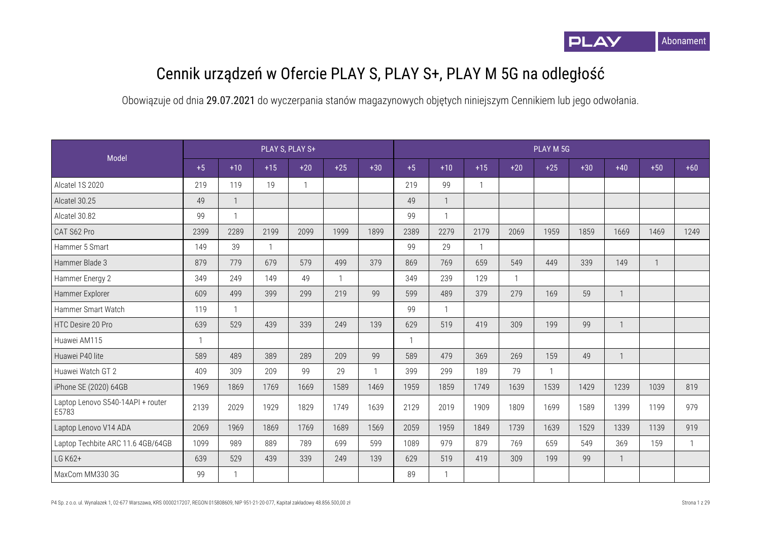

## Cennik urządzeń w Ofercie PLAY S, PLAY S+, PLAY M 5G na odległość

|                                            |                |              |              | PLAY S, PLAY S+ |              |                |              |              |       |              | PLAY M 5G    |       |              |       |       |
|--------------------------------------------|----------------|--------------|--------------|-----------------|--------------|----------------|--------------|--------------|-------|--------------|--------------|-------|--------------|-------|-------|
| Model                                      | $+5$           | $+10$        | $+15$        | $+20$           | $+25$        | $+30$          | $+5$         | $+10$        | $+15$ | $+20$        | $+25$        | $+30$ | $+40$        | $+50$ | $+60$ |
| Alcatel 1S 2020                            | 219            | 119          | 19           |                 |              |                | 219          | 99           |       |              |              |       |              |       |       |
| Alcatel 30.25                              | 49             |              |              |                 |              |                | 49           | $\mathbf{1}$ |       |              |              |       |              |       |       |
| Alcatel 30.82                              | 99             | $\mathbf{1}$ |              |                 |              |                | 99           | $\mathbf{1}$ |       |              |              |       |              |       |       |
| CAT S62 Pro                                | 2399           | 2289         | 2199         | 2099            | 1999         | 1899           | 2389         | 2279         | 2179  | 2069         | 1959         | 1859  | 1669         | 1469  | 1249  |
| Hammer 5 Smart                             | 149            | 39           | $\mathbf{1}$ |                 |              |                | 99           | 29           |       |              |              |       |              |       |       |
| Hammer Blade 3                             | 879            | 779          | 679          | 579             | 499          | 379            | 869          | 769          | 659   | 549          | 449          | 339   | 149          |       |       |
| Hammer Energy 2                            | 349            | 249          | 149          | 49              | $\mathbf{1}$ |                | 349          | 239          | 129   | $\mathbf{1}$ |              |       |              |       |       |
| Hammer Explorer                            | 609            | 499          | 399          | 299             | 219          | 99             | 599          | 489          | 379   | 279          | 169          | 59    | $\mathbf{1}$ |       |       |
| Hammer Smart Watch                         | 119            | $\mathbf{1}$ |              |                 |              |                | 99           | $\mathbf{1}$ |       |              |              |       |              |       |       |
| HTC Desire 20 Pro                          | 639            | 529          | 439          | 339             | 249          | 139            | 629          | 519          | 419   | 309          | 199          | 99    | $\mathbf{1}$ |       |       |
| Huawei AM115                               | $\overline{1}$ |              |              |                 |              |                | $\mathbf{1}$ |              |       |              |              |       |              |       |       |
| Huawei P40 lite                            | 589            | 489          | 389          | 289             | 209          | 99             | 589          | 479          | 369   | 269          | 159          | 49    | $\mathbf{1}$ |       |       |
| Huawei Watch GT 2                          | 409            | 309          | 209          | 99              | 29           | $\overline{1}$ | 399          | 299          | 189   | 79           | $\mathbf{1}$ |       |              |       |       |
| iPhone SE (2020) 64GB                      | 1969           | 1869         | 1769         | 1669            | 1589         | 1469           | 1959         | 1859         | 1749  | 1639         | 1539         | 1429  | 1239         | 1039  | 819   |
| Laptop Lenovo S540-14API + router<br>E5783 | 2139           | 2029         | 1929         | 1829            | 1749         | 1639           | 2129         | 2019         | 1909  | 1809         | 1699         | 1589  | 1399         | 1199  | 979   |
| Laptop Lenovo V14 ADA                      | 2069           | 1969         | 1869         | 1769            | 1689         | 1569           | 2059         | 1959         | 1849  | 1739         | 1639         | 1529  | 1339         | 1139  | 919   |
| Laptop Techbite ARC 11.6 4GB/64GB          | 1099           | 989          | 889          | 789             | 699          | 599            | 1089         | 979          | 879   | 769          | 659          | 549   | 369          | 159   | 1     |
| LG K62+                                    | 639            | 529          | 439          | 339             | 249          | 139            | 629          | 519          | 419   | 309          | 199          | 99    | $\mathbf{1}$ |       |       |
| MaxCom MM330 3G                            | 99             | $\mathbf{1}$ |              |                 |              |                | 89           | $\mathbf{1}$ |       |              |              |       |              |       |       |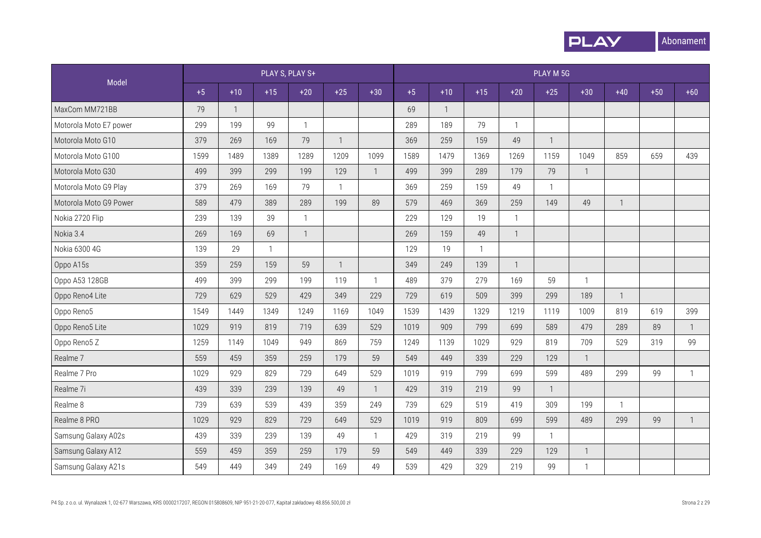

|                        |      |                |              | PLAY S, PLAY S+ |                |                |      |              |              |                | PLAY M 5G                |              |              |       |              |
|------------------------|------|----------------|--------------|-----------------|----------------|----------------|------|--------------|--------------|----------------|--------------------------|--------------|--------------|-------|--------------|
| Model                  | $+5$ | $+10$          | $+15$        | $+20$           | $+25$          | $+30$          | $+5$ | $+10$        | $+15$        | $+20$          | $+25$                    | $+30$        | $+40$        | $+50$ | $+60$        |
| MaxCom MM721BB         | 79   | $\overline{1}$ |              |                 |                |                | 69   | $\mathbf{1}$ |              |                |                          |              |              |       |              |
| Motorola Moto E7 power | 299  | 199            | 99           | $\mathbf 1$     |                |                | 289  | 189          | 79           | $\mathbf{1}$   |                          |              |              |       |              |
| Motorola Moto G10      | 379  | 269            | 169          | 79              | $\overline{1}$ |                | 369  | 259          | 159          | 49             | $\overline{1}$           |              |              |       |              |
| Motorola Moto G100     | 1599 | 1489           | 1389         | 1289            | 1209           | 1099           | 1589 | 1479         | 1369         | 1269           | 1159                     | 1049         | 859          | 659   | 439          |
| Motorola Moto G30      | 499  | 399            | 299          | 199             | 129            | $\overline{1}$ | 499  | 399          | 289          | 179            | 79                       | $\mathbf{1}$ |              |       |              |
| Motorola Moto G9 Play  | 379  | 269            | 169          | 79              | $\overline{1}$ |                | 369  | 259          | 159          | 49             | $\overline{1}$           |              |              |       |              |
| Motorola Moto G9 Power | 589  | 479            | 389          | 289             | 199            | 89             | 579  | 469          | 369          | 259            | 149                      | 49           | $\mathbf{1}$ |       |              |
| Nokia 2720 Flip        | 239  | 139            | 39           |                 |                |                | 229  | 129          | 19           | $\mathbf{1}$   |                          |              |              |       |              |
| Nokia 3.4              | 269  | 169            | 69           |                 |                |                | 269  | 159          | 49           | $\overline{1}$ |                          |              |              |       |              |
| Nokia 6300 4G          | 139  | 29             | $\mathbf{1}$ |                 |                |                | 129  | 19           | $\mathbf{1}$ |                |                          |              |              |       |              |
| Oppo A15s              | 359  | 259            | 159          | 59              | $\overline{1}$ |                | 349  | 249          | 139          | $\mathbf{1}$   |                          |              |              |       |              |
| Oppo A53 128GB         | 499  | 399            | 299          | 199             | 119            | $\overline{1}$ | 489  | 379          | 279          | 169            | 59                       | $\mathbf{1}$ |              |       |              |
| Oppo Reno4 Lite        | 729  | 629            | 529          | 429             | 349            | 229            | 729  | 619          | 509          | 399            | 299                      | 189          | $\mathbf{1}$ |       |              |
| Oppo Reno5             | 1549 | 1449           | 1349         | 1249            | 1169           | 1049           | 1539 | 1439         | 1329         | 1219           | 1119                     | 1009         | 819          | 619   | 399          |
| Oppo Reno5 Lite        | 1029 | 919            | 819          | 719             | 639            | 529            | 1019 | 909          | 799          | 699            | 589                      | 479          | 289          | 89    | $\mathbf{1}$ |
| Oppo Reno5 Z           | 1259 | 1149           | 1049         | 949             | 869            | 759            | 1249 | 1139         | 1029         | 929            | 819                      | 709          | 529          | 319   | 99           |
| Realme <sub>7</sub>    | 559  | 459            | 359          | 259             | 179            | 59             | 549  | 449          | 339          | 229            | 129                      | $\mathbf{1}$ |              |       |              |
| Realme 7 Pro           | 1029 | 929            | 829          | 729             | 649            | 529            | 1019 | 919          | 799          | 699            | 599                      | 489          | 299          | 99    | $\mathbf{1}$ |
| Realme 7i              | 439  | 339            | 239          | 139             | 49             | $\overline{1}$ | 429  | 319          | 219          | 99             | -1                       |              |              |       |              |
| Realme 8               | 739  | 639            | 539          | 439             | 359            | 249            | 739  | 629          | 519          | 419            | 309                      | 199          | $\mathbf{1}$ |       |              |
| Realme 8 PRO           | 1029 | 929            | 829          | 729             | 649            | 529            | 1019 | 919          | 809          | 699            | 599                      | 489          | 299          | 99    | $\mathbf{1}$ |
| Samsung Galaxy A02s    | 439  | 339            | 239          | 139             | 49             | $\mathbf{1}$   | 429  | 319          | 219          | 99             | $\overline{\phantom{a}}$ |              |              |       |              |
| Samsung Galaxy A12     | 559  | 459            | 359          | 259             | 179            | 59             | 549  | 449          | 339          | 229            | 129                      | $\mathbf{1}$ |              |       |              |
| Samsung Galaxy A21s    | 549  | 449            | 349          | 249             | 169            | 49             | 539  | 429          | 329          | 219            | 99                       | $\mathbf{1}$ |              |       |              |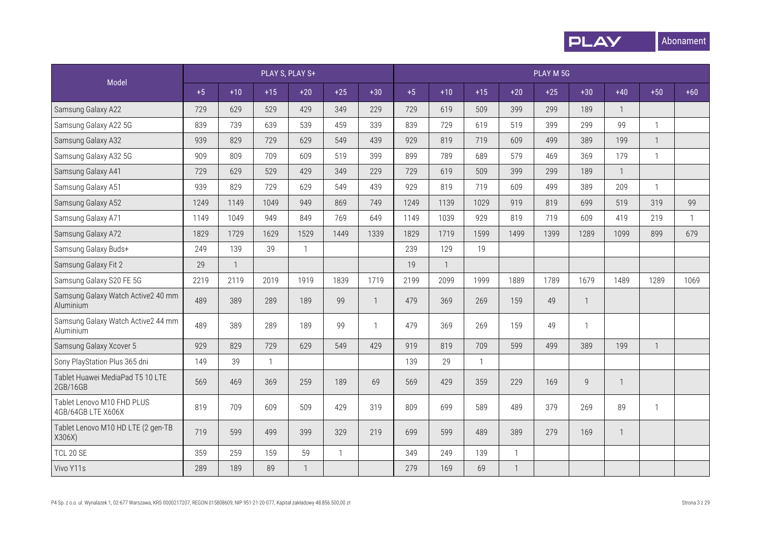

|                                                  |      |                          |       | PLAY S, PLAY S+ |              |                |      |              |       |              | PLAY M 5G |                |                |              |              |
|--------------------------------------------------|------|--------------------------|-------|-----------------|--------------|----------------|------|--------------|-------|--------------|-----------|----------------|----------------|--------------|--------------|
| Model                                            | $+5$ | $+10$                    | $+15$ | $+20$           | $+25$        | $+30$          | $+5$ | $+10$        | $+15$ | $+20$        | $+25$     | $+30$          | $+40$          | $+50$        | $+60$        |
| Samsung Galaxy A22                               | 729  | 629                      | 529   | 429             | 349          | 229            | 729  | 619          | 509   | 399          | 299       | 189            | $\overline{1}$ |              |              |
| Samsung Galaxy A22 5G                            | 839  | 739                      | 639   | 539             | 459          | 339            | 839  | 729          | 619   | 519          | 399       | 299            | 99             | $\mathbf{1}$ |              |
| Samsung Galaxy A32                               | 939  | 829                      | 729   | 629             | 549          | 439            | 929  | 819          | 719   | 609          | 499       | 389            | 199            | $\mathbf{1}$ |              |
| Samsung Galaxy A32 5G                            | 909  | 809                      | 709   | 609             | 519          | 399            | 899  | 789          | 689   | 579          | 469       | 369            | 179            | $\mathbf{1}$ |              |
| Samsung Galaxy A41                               | 729  | 629                      | 529   | 429             | 349          | 229            | 729  | 619          | 509   | 399          | 299       | 189            | $\mathbf{1}$   |              |              |
| Samsung Galaxy A51                               | 939  | 829                      | 729   | 629             | 549          | 439            | 929  | 819          | 719   | 609          | 499       | 389            | 209            | $\mathbf{1}$ |              |
| Samsung Galaxy A52                               | 1249 | 1149                     | 1049  | 949             | 869          | 749            | 1249 | 1139         | 1029  | 919          | 819       | 699            | 519            | 319          | 99           |
| Samsung Galaxy A71                               | 1149 | 1049                     | 949   | 849             | 769          | 649            | 1149 | 1039         | 929   | 819          | 719       | 609            | 419            | 219          | $\mathbf{1}$ |
| Samsung Galaxy A72                               | 1829 | 1729                     | 1629  | 1529            | 1449         | 1339           | 1829 | 1719         | 1599  | 1499         | 1399      | 1289           | 1099           | 899          | 679          |
| Samsung Galaxy Buds+                             | 249  | 139                      | 39    | $\mathbf{1}$    |              |                | 239  | 129          | 19    |              |           |                |                |              |              |
| Samsung Galaxy Fit 2                             | 29   | $\overline{\phantom{a}}$ |       |                 |              |                | 19   | $\mathbf{1}$ |       |              |           |                |                |              |              |
| Samsung Galaxy S20 FE 5G                         | 2219 | 2119                     | 2019  | 1919            | 1839         | 1719           | 2199 | 2099         | 1999  | 1889         | 1789      | 1679           | 1489           | 1289         | 1069         |
| Samsung Galaxy Watch Active2 40 mm<br>Aluminium  | 489  | 389                      | 289   | 189             | 99           | $\mathbf{1}$   | 479  | 369          | 269   | 159          | 49        | $\mathbf{1}$   |                |              |              |
| Samsung Galaxy Watch Active2 44 mm<br>Aluminium  | 489  | 389                      | 289   | 189             | 99           | $\overline{1}$ | 479  | 369          | 269   | 159          | 49        | $\mathbf{1}$   |                |              |              |
| Samsung Galaxy Xcover 5                          | 929  | 829                      | 729   | 629             | 549          | 429            | 919  | 819          | 709   | 599          | 499       | 389            | 199            | $\mathbf{1}$ |              |
| Sony PlayStation Plus 365 dni                    | 149  | 39                       |       |                 |              |                | 139  | 29           |       |              |           |                |                |              |              |
| Tablet Huawei MediaPad T5 10 LTE<br>2GB/16GB     | 569  | 469                      | 369   | 259             | 189          | 69             | 569  | 429          | 359   | 229          | 169       | $\overline{9}$ | $\mathbf{1}$   |              |              |
| Tablet Lenovo M10 FHD PLUS<br>4GB/64GB LTE X606X | 819  | 709                      | 609   | 509             | 429          | 319            | 809  | 699          | 589   | 489          | 379       | 269            | 89             | $\mathbf{1}$ |              |
| Tablet Lenovo M10 HD LTE (2 gen-TB<br>X306X)     | 719  | 599                      | 499   | 399             | 329          | 219            | 699  | 599          | 489   | 389          | 279       | 169            | $\mathbf{1}$   |              |              |
| <b>TCL 20 SE</b>                                 | 359  | 259                      | 159   | 59              | $\mathbf{1}$ |                | 349  | 249          | 139   | $\mathbf{1}$ |           |                |                |              |              |
| Vivo Y11s                                        | 289  | 189                      | 89    | $\mathbf{1}$    |              |                | 279  | 169          | 69    | $\mathbf{1}$ |           |                |                |              |              |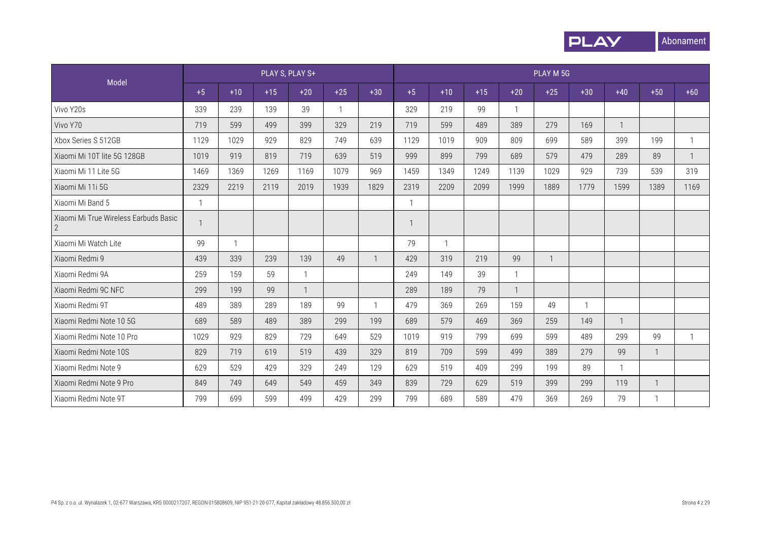

|                                                         |              |              |       | PLAY S, PLAY S+ |              |              |      |             |       |              | PLAY M 5G    |                |              |              |              |
|---------------------------------------------------------|--------------|--------------|-------|-----------------|--------------|--------------|------|-------------|-------|--------------|--------------|----------------|--------------|--------------|--------------|
| Model                                                   | $+5$         | $+10$        | $+15$ | $+20$           | $+25$        | $+30$        | $+5$ | $+10$       | $+15$ | $+20$        | $+25$        | $+30$          | $+40$        | $+50$        | $+60$        |
| Vivo Y20s                                               | 339          | 239          | 139   | 39              | $\mathbf{1}$ |              | 329  | 219         | 99    | $\mathbf{1}$ |              |                |              |              |              |
| Vivo Y70                                                | 719          | 599          | 499   | 399             | 329          | 219          | 719  | 599         | 489   | 389          | 279          | 169            | 1            |              |              |
| Xbox Series S 512GB                                     | 1129         | 1029         | 929   | 829             | 749          | 639          | 1129 | 1019        | 909   | 809          | 699          | 589            | 399          | 199          | $\mathbf{1}$ |
| Xiaomi Mi 10T lite 5G 128GB                             | 1019         | 919          | 819   | 719             | 639          | 519          | 999  | 899         | 799   | 689          | 579          | 479            | 289          | 89           | 1            |
| Xiaomi Mi 11 Lite 5G                                    | 1469         | 1369         | 1269  | 1169            | 1079         | 969          | 1459 | 1349        | 1249  | 1139         | 1029         | 929            | 739          | 539          | 319          |
| Xiaomi Mi 11i 5G                                        | 2329         | 2219         | 2119  | 2019            | 1939         | 1829         | 2319 | 2209        | 2099  | 1999         | 1889         | 1779           | 1599         | 1389         | 1169         |
| Xiaomi Mi Band 5                                        | $\mathbf{1}$ |              |       |                 |              |              |      |             |       |              |              |                |              |              |              |
| Xiaomi Mi True Wireless Earbuds Basic<br>$\overline{2}$ |              |              |       |                 |              |              |      |             |       |              |              |                |              |              |              |
| Xiaomi Mi Watch Lite                                    | 99           | $\mathbf{1}$ |       |                 |              |              | 79   | $\mathbf 1$ |       |              |              |                |              |              |              |
| Xiaomi Redmi 9                                          | 439          | 339          | 239   | 139             | 49           |              | 429  | 319         | 219   | 99           | $\mathbf{1}$ |                |              |              |              |
| Xiaomi Redmi 9A                                         | 259          | 159          | 59    | $\mathbf{1}$    |              |              | 249  | 149         | 39    | $\mathbf{1}$ |              |                |              |              |              |
| Xiaomi Redmi 9C NFC                                     | 299          | 199          | 99    | $\mathbf{1}$    |              |              | 289  | 189         | 79    | $\mathbf{1}$ |              |                |              |              |              |
| Xiaomi Redmi 9T                                         | 489          | 389          | 289   | 189             | 99           | $\mathbf{1}$ | 479  | 369         | 269   | 159          | 49           | $\overline{1}$ |              |              |              |
| Xiaomi Redmi Note 10 5G                                 | 689          | 589          | 489   | 389             | 299          | 199          | 689  | 579         | 469   | 369          | 259          | 149            | $\mathbf{1}$ |              |              |
| Xiaomi Redmi Note 10 Pro                                | 1029         | 929          | 829   | 729             | 649          | 529          | 1019 | 919         | 799   | 699          | 599          | 489            | 299          | 99           | $\mathbf{1}$ |
| Xiaomi Redmi Note 10S                                   | 829          | 719          | 619   | 519             | 439          | 329          | 819  | 709         | 599   | 499          | 389          | 279            | 99           | $\mathbf{1}$ |              |
| Xiaomi Redmi Note 9                                     | 629          | 529          | 429   | 329             | 249          | 129          | 629  | 519         | 409   | 299          | 199          | 89             | $\mathbf{1}$ |              |              |
| Xiaomi Redmi Note 9 Pro                                 | 849          | 749          | 649   | 549             | 459          | 349          | 839  | 729         | 629   | 519          | 399          | 299            | 119          |              |              |
| Xiaomi Redmi Note 9T                                    | 799          | 699          | 599   | 499             | 429          | 299          | 799  | 689         | 589   | 479          | 369          | 269            | 79           |              |              |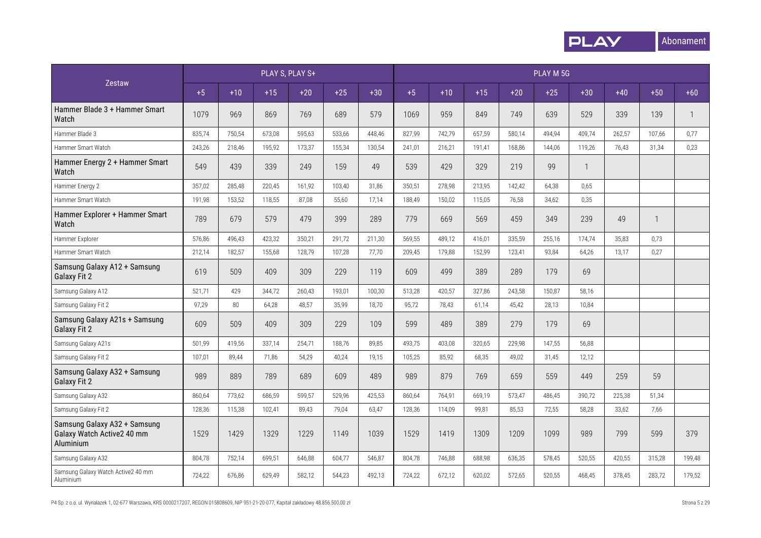

|                                                                         |        |        | PLAY S, PLAY S+ |        |        |        |        |        |        |        | PLAY M 5G |              |        |        |              |
|-------------------------------------------------------------------------|--------|--------|-----------------|--------|--------|--------|--------|--------|--------|--------|-----------|--------------|--------|--------|--------------|
| Zestaw                                                                  | $+5$   | $+10$  | $+15$           | $+20$  | $+25$  | $+30$  | $+5$   | $+10$  | $+15$  | $+20$  | $+25$     | $+30$        | $+40$  | $+50$  | $+60$        |
| Hammer Blade 3 + Hammer Smart<br>Watch                                  | 1079   | 969    | 869             | 769    | 689    | 579    | 1069   | 959    | 849    | 749    | 639       | 529          | 339    | 139    | $\mathbf{1}$ |
| Hammer Blade 3                                                          | 835,74 | 750,54 | 673,08          | 595.63 | 533,66 | 448.46 | 827,99 | 742,79 | 657,59 | 580.14 | 494.94    | 409.74       | 262,57 | 107,66 | 0,77         |
| Hammer Smart Watch                                                      | 243,26 | 218,46 | 195,92          | 173,37 | 155,34 | 130,54 | 241,01 | 216,21 | 191,41 | 168,86 | 144,06    | 119,26       | 76,43  | 31,34  | 0,23         |
| Hammer Energy 2 + Hammer Smart<br>Watch                                 | 549    | 439    | 339             | 249    | 159    | 49     | 539    | 429    | 329    | 219    | 99        | $\mathbf{1}$ |        |        |              |
| Hammer Energy 2                                                         | 357,02 | 285,48 | 220,45          | 161.92 | 103.40 | 31,86  | 350,51 | 278,98 | 213,95 | 142.42 | 64,38     | 0,65         |        |        |              |
| Hammer Smart Watch                                                      | 191,98 | 153,52 | 118,55          | 87,08  | 55,60  | 17,14  | 188,49 | 150,02 | 115,05 | 76,58  | 34,62     | 0,35         |        |        |              |
| Hammer Explorer + Hammer Smart<br>Watch                                 | 789    | 679    | 579             | 479    | 399    | 289    | 779    | 669    | 569    | 459    | 349       | 239          | 49     |        |              |
| Hammer Explorer                                                         | 576,86 | 496,43 | 423,32          | 350,21 | 291,72 | 211,30 | 569,55 | 489,12 | 416,01 | 335,59 | 255,16    | 174,74       | 35,83  | 0,73   |              |
| Hammer Smart Watch                                                      | 212,14 | 182,57 | 155,68          | 128,79 | 107,28 | 77,70  | 209,45 | 179,88 | 152,99 | 123,41 | 93,84     | 64,26        | 13,17  | 0,27   |              |
| Samsung Galaxy A12 + Samsung<br><b>Galaxy Fit 2</b>                     | 619    | 509    | 409             | 309    | 229    | 119    | 609    | 499    | 389    | 289    | 179       | 69           |        |        |              |
| Samsung Galaxy A12                                                      | 521,71 | 429    | 344,72          | 260,43 | 193,01 | 100,30 | 513,28 | 420,57 | 327,86 | 243,58 | 150,87    | 58,16        |        |        |              |
| Samsung Galaxy Fit 2                                                    | 97,29  | 80     | 64,28           | 48,57  | 35,99  | 18,70  | 95,72  | 78,43  | 61,14  | 45,42  | 28,13     | 10,84        |        |        |              |
| Samsung Galaxy A21s + Samsung<br><b>Galaxy Fit 2</b>                    | 609    | 509    | 409             | 309    | 229    | 109    | 599    | 489    | 389    | 279    | 179       | 69           |        |        |              |
| Samsung Galaxy A21s                                                     | 501,99 | 419,56 | 337,14          | 254,71 | 188,76 | 89,85  | 493,75 | 403,08 | 320,65 | 229,98 | 147,55    | 56,88        |        |        |              |
| Samsung Galaxy Fit 2                                                    | 107,01 | 89,44  | 71,86           | 54,29  | 40,24  | 19,15  | 105,25 | 85,92  | 68,35  | 49,02  | 31,45     | 12,12        |        |        |              |
| Samsung Galaxy A32 + Samsung<br><b>Galaxy Fit 2</b>                     | 989    | 889    | 789             | 689    | 609    | 489    | 989    | 879    | 769    | 659    | 559       | 449          | 259    | 59     |              |
| Samsung Galaxy A32                                                      | 860,64 | 773,62 | 686,59          | 599,57 | 529,96 | 425,53 | 860,64 | 764,91 | 669,19 | 573,47 | 486,45    | 390,72       | 225,38 | 51,34  |              |
| Samsung Galaxy Fit 2                                                    | 128,36 | 115,38 | 102,41          | 89,43  | 79,04  | 63,47  | 128,36 | 114,09 | 99,81  | 85,53  | 72,55     | 58,28        | 33,62  | 7,66   |              |
| Samsung Galaxy A32 + Samsung<br>Galaxy Watch Active2 40 mm<br>Aluminium | 1529   | 1429   | 1329            | 1229   | 1149   | 1039   | 1529   | 1419   | 1309   | 1209   | 1099      | 989          | 799    | 599    | 379          |
| Samsung Galaxy A32                                                      | 804,78 | 752,14 | 699,51          | 646,88 | 604,77 | 546,87 | 804,78 | 746,88 | 688,98 | 636,35 | 578,45    | 520,55       | 420,55 | 315,28 | 199,48       |
| Samsung Galaxy Watch Active2 40 mm<br>Aluminium                         | 724.22 | 676.86 | 629,49          | 582,12 | 544,23 | 492,13 | 724,22 | 672,12 | 620,02 | 572.65 | 520,55    | 468.45       | 378.45 | 283,72 | 179.52       |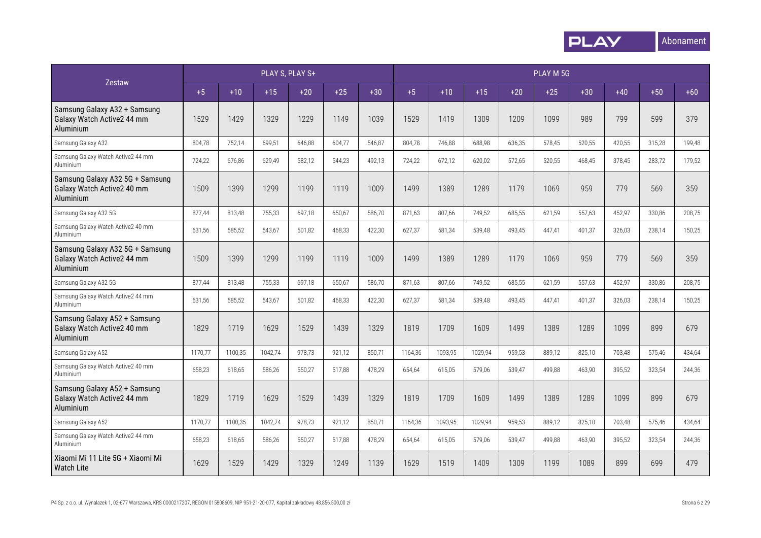

|                                                                            |         |         | PLAY S, PLAY S+ |        |        |        |         |         |         |        | PLAY M 5G |        |        |        |        |
|----------------------------------------------------------------------------|---------|---------|-----------------|--------|--------|--------|---------|---------|---------|--------|-----------|--------|--------|--------|--------|
| Zestaw                                                                     | $+5$    | $+10$   | $+15$           | $+20$  | $+25$  | $+30$  | $+5$    | $+10$   | $+15$   | $+20$  | $+25$     | $+30$  | $+40$  | $+50$  | $+60$  |
| Samsung Galaxy A32 + Samsung<br>Galaxy Watch Active2 44 mm<br>Aluminium    | 1529    | 1429    | 1329            | 1229   | 1149   | 1039   | 1529    | 1419    | 1309    | 1209   | 1099      | 989    | 799    | 599    | 379    |
| Samsung Galaxy A32                                                         | 804,78  | 752,14  | 699,51          | 646,88 | 604,77 | 546,87 | 804,78  | 746,88  | 688,98  | 636,35 | 578,45    | 520,55 | 420,55 | 315,28 | 199,48 |
| Samsung Galaxy Watch Active2 44 mm<br>Aluminium                            | 724,22  | 676,86  | 629,49          | 582,12 | 544,23 | 492,13 | 724,22  | 672,12  | 620,02  | 572,65 | 520,55    | 468,45 | 378,45 | 283,72 | 179,52 |
| Samsung Galaxy A32 5G + Samsung<br>Galaxy Watch Active2 40 mm<br>Aluminium | 1509    | 1399    | 1299            | 1199   | 1119   | 1009   | 1499    | 1389    | 1289    | 1179   | 1069      | 959    | 779    | 569    | 359    |
| Samsung Galaxy A32 5G                                                      | 877,44  | 813,48  | 755,33          | 697,18 | 650,67 | 586,70 | 871,63  | 807,66  | 749,52  | 685,55 | 621,59    | 557,63 | 452,97 | 330,86 | 208,75 |
| Samsung Galaxy Watch Active2 40 mm<br>Aluminium                            | 631,56  | 585,52  | 543,67          | 501,82 | 468,33 | 422,30 | 627,37  | 581,34  | 539,48  | 493,45 | 447,41    | 401,37 | 326,03 | 238,14 | 150,25 |
| Samsung Galaxy A32 5G + Samsung<br>Galaxy Watch Active2 44 mm<br>Aluminium | 1509    | 1399    | 1299            | 1199   | 1119   | 1009   | 1499    | 1389    | 1289    | 1179   | 1069      | 959    | 779    | 569    | 359    |
| Samsung Galaxy A32 5G                                                      | 877,44  | 813,48  | 755,33          | 697.18 | 650.67 | 586,70 | 871,63  | 807.66  | 749,52  | 685.55 | 621,59    | 557,63 | 452,97 | 330,86 | 208.75 |
| Samsung Galaxy Watch Active2 44 mm<br>Aluminium                            | 631,56  | 585,52  | 543,67          | 501,82 | 468,33 | 422,30 | 627,37  | 581,34  | 539,48  | 493,45 | 447,41    | 401,37 | 326,03 | 238,14 | 150,25 |
| Samsung Galaxy A52 + Samsung<br>Galaxy Watch Active2 40 mm<br>Aluminium    | 1829    | 1719    | 1629            | 1529   | 1439   | 1329   | 1819    | 1709    | 1609    | 1499   | 1389      | 1289   | 1099   | 899    | 679    |
| Samsung Galaxy A52                                                         | 1170,77 | 1100,35 | 1042,74         | 978,73 | 921,12 | 850,71 | 1164,36 | 1093,95 | 1029,94 | 959,53 | 889,12    | 825,10 | 703,48 | 575,46 | 434,64 |
| Samsung Galaxy Watch Active2 40 mm<br>Aluminium                            | 658,23  | 618,65  | 586,26          | 550,27 | 517.88 | 478,29 | 654,64  | 615,05  | 579,06  | 539.47 | 499.88    | 463.90 | 395,52 | 323,54 | 244,36 |
| Samsung Galaxy A52 + Samsung<br>Galaxy Watch Active2 44 mm<br>Aluminium    | 1829    | 1719    | 1629            | 1529   | 1439   | 1329   | 1819    | 1709    | 1609    | 1499   | 1389      | 1289   | 1099   | 899    | 679    |
| Samsung Galaxy A52                                                         | 1170,77 | 1100,35 | 1042,74         | 978,73 | 921,12 | 850,71 | 1164,36 | 1093,95 | 1029,94 | 959,53 | 889,12    | 825,10 | 703,48 | 575,46 | 434,64 |
| Samsung Galaxy Watch Active2 44 mm<br>Aluminium                            | 658,23  | 618,65  | 586,26          | 550,27 | 517,88 | 478,29 | 654,64  | 615,05  | 579,06  | 539,47 | 499,88    | 463,90 | 395,52 | 323,54 | 244,36 |
| Xiaomi Mi 11 Lite 5G + Xiaomi Mi<br><b>Watch Lite</b>                      | 1629    | 1529    | 1429            | 1329   | 1249   | 1139   | 1629    | 1519    | 1409    | 1309   | 1199      | 1089   | 899    | 699    | 479    |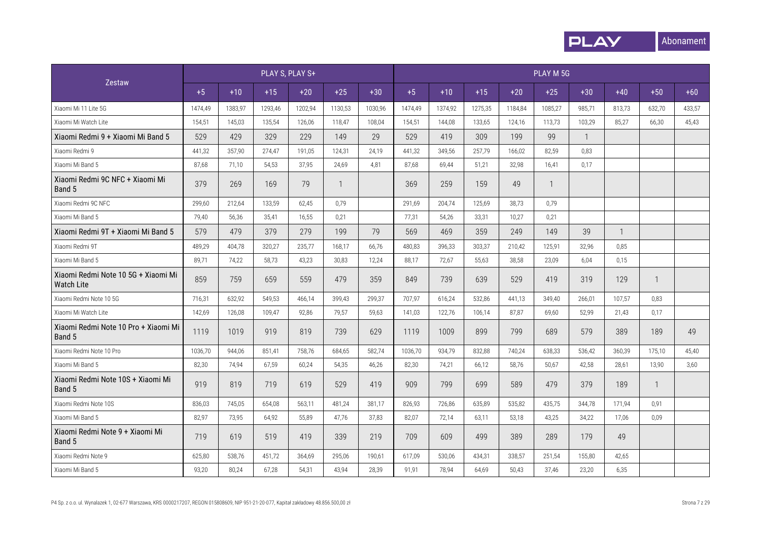

|                                                          |         |         |         | PLAY S, PLAY S+ |                |         |         |         |         |         | PLAY M 5G    |              |              |        |        |
|----------------------------------------------------------|---------|---------|---------|-----------------|----------------|---------|---------|---------|---------|---------|--------------|--------------|--------------|--------|--------|
| Zestaw                                                   | $+5$    | $+10$   | $+15$   | $+20$           | $+25$          | $+30$   | $+5$    | $+10$   | $+15$   | $+20$   | $+25$        | $+30$        | $+40$        | $+50$  | $+60$  |
| Xiaomi Mi 11 Lite 5G                                     | 1474,49 | 1383,97 | 1293,46 | 1202,94         | 1130,53        | 1030,96 | 1474,49 | 1374,92 | 1275,35 | 1184,84 | 1085,27      | 985,71       | 813,73       | 632,70 | 433,57 |
| Xiaomi Mi Watch Lite                                     | 154,51  | 145,03  | 135,54  | 126,06          | 118,47         | 108,04  | 154,51  | 144,08  | 133,65  | 124,16  | 113,73       | 103,29       | 85,27        | 66,30  | 45,43  |
| Xiaomi Redmi 9 + Xiaomi Mi Band 5                        | 529     | 429     | 329     | 229             | 149            | 29      | 529     | 419     | 309     | 199     | 99           | $\mathbf{1}$ |              |        |        |
| Xiaomi Redmi 9                                           | 441,32  | 357,90  | 274,47  | 191,05          | 124,31         | 24,19   | 441,32  | 349,56  | 257,79  | 166,02  | 82,59        | 0,83         |              |        |        |
| Xiaomi Mi Band 5                                         | 87,68   | 71,10   | 54,53   | 37,95           | 24,69          | 4,81    | 87,68   | 69,44   | 51,21   | 32,98   | 16,41        | 0,17         |              |        |        |
| Xiaomi Redmi 9C NFC + Xiaomi Mi<br>Band 5                | 379     | 269     | 169     | 79              | $\overline{1}$ |         | 369     | 259     | 159     | 49      | $\mathbf{1}$ |              |              |        |        |
| Xiaomi Redmi 9C NFC                                      | 299,60  | 212,64  | 133,59  | 62,45           | 0,79           |         | 291,69  | 204,74  | 125,69  | 38,73   | 0,79         |              |              |        |        |
| Xiaomi Mi Band 5                                         | 79,40   | 56,36   | 35,41   | 16,55           | 0,21           |         | 77,31   | 54,26   | 33,31   | 10,27   | 0,21         |              |              |        |        |
| Xiaomi Redmi 9T + Xiaomi Mi Band 5                       | 579     | 479     | 379     | 279             | 199            | 79      | 569     | 469     | 359     | 249     | 149          | 39           | $\mathbf{1}$ |        |        |
| Xiaomi Redmi 9T                                          | 489,29  | 404,78  | 320,27  | 235,77          | 168,17         | 66,76   | 480,83  | 396,33  | 303,37  | 210,42  | 125,91       | 32,96        | 0,85         |        |        |
| Xiaomi Mi Band 5                                         | 89,71   | 74,22   | 58,73   | 43,23           | 30,83          | 12,24   | 88,17   | 72,67   | 55,63   | 38,58   | 23,09        | 6,04         | 0,15         |        |        |
| Xiaomi Redmi Note 10 5G + Xiaomi Mi<br><b>Watch Lite</b> | 859     | 759     | 659     | 559             | 479            | 359     | 849     | 739     | 639     | 529     | 419          | 319          | 129          | 1      |        |
| Xiaomi Redmi Note 10 5G                                  | 716.31  | 632,92  | 549.53  | 466.14          | 399.43         | 299.37  | 707.97  | 616.24  | 532.86  | 441.13  | 349.40       | 266.01       | 107.57       | 0.83   |        |
| Xiaomi Mi Watch Lite                                     | 142,69  | 126,08  | 109,47  | 92,86           | 79,57          | 59,63   | 141,03  | 122,76  | 106,14  | 87,87   | 69,60        | 52.99        | 21,43        | 0,17   |        |
| Xiaomi Redmi Note 10 Pro + Xiaomi Mi<br>Band 5           | 1119    | 1019    | 919     | 819             | 739            | 629     | 1119    | 1009    | 899     | 799     | 689          | 579          | 389          | 189    | 49     |
| Xiaomi Redmi Note 10 Pro                                 | 1036,70 | 944,06  | 851,41  | 758,76          | 684,65         | 582,74  | 1036,70 | 934,79  | 832,88  | 740,24  | 638.33       | 536,42       | 360,39       | 175,10 | 45,40  |
| Xiaomi Mi Band 5                                         | 82,30   | 74,94   | 67,59   | 60,24           | 54,35          | 46,26   | 82,30   | 74,21   | 66.12   | 58,76   | 50,67        | 42,58        | 28,61        | 13,90  | 3,60   |
| Xiaomi Redmi Note 10S + Xiaomi Mi<br>Band 5              | 919     | 819     | 719     | 619             | 529            | 419     | 909     | 799     | 699     | 589     | 479          | 379          | 189          | 1      |        |
| Xiaomi Redmi Note 10S                                    | 836,03  | 745,05  | 654,08  | 563.11          | 481.24         | 381.17  | 826.93  | 726.86  | 635.89  | 535.82  | 435.75       | 344.78       | 171.94       | 0,91   |        |
| Xiaomi Mi Band 5                                         | 82,97   | 73,95   | 64,92   | 55,89           | 47,76          | 37,83   | 82,07   | 72,14   | 63,11   | 53,18   | 43,25        | 34,22        | 17,06        | 0,09   |        |
| Xiaomi Redmi Note 9 + Xiaomi Mi<br>Band 5                | 719     | 619     | 519     | 419             | 339            | 219     | 709     | 609     | 499     | 389     | 289          | 179          | 49           |        |        |
| Xiaomi Redmi Note 9                                      | 625,80  | 538,76  | 451,72  | 364,69          | 295,06         | 190,61  | 617,09  | 530,06  | 434,31  | 338,57  | 251,54       | 155,80       | 42,65        |        |        |
| Xiaomi Mi Band 5                                         | 93,20   | 80,24   | 67,28   | 54,31           | 43,94          | 28,39   | 91,91   | 78,94   | 64,69   | 50,43   | 37.46        | 23,20        | 6,35         |        |        |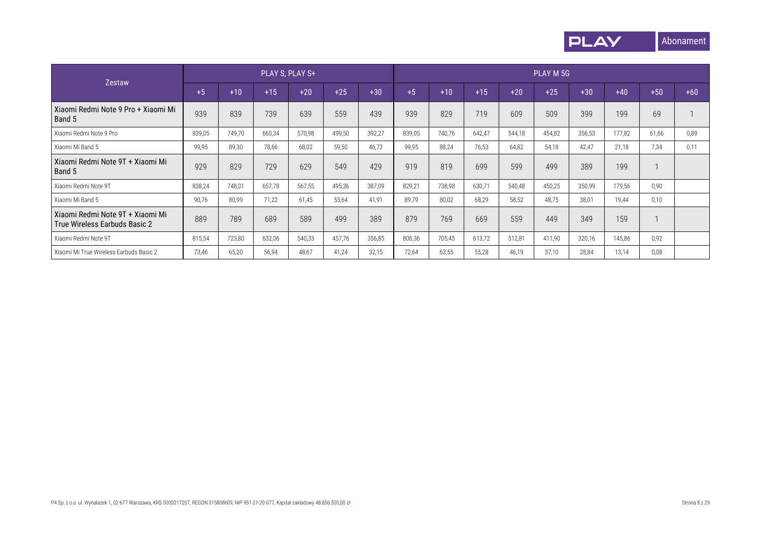

|                                                                   |        |        | PLAY S, PLAY S+ |        |        |        |        |        |        |        | PLAY M 5G |        |        |       |       |
|-------------------------------------------------------------------|--------|--------|-----------------|--------|--------|--------|--------|--------|--------|--------|-----------|--------|--------|-------|-------|
| Zestaw                                                            | $+5$   | $+10$  | $+15$           | $+20$  | $+25$  | $+30$  | $+5$   | $+10$  | $+15$  | $+20$  | $+25$     | $+30$  | $+40$  | $+50$ | $+60$ |
| Xiaomi Redmi Note 9 Pro + Xiaomi Mi<br>Band 5                     | 939    | 839    | 739             | 639    | 559    | 439    | 939    | 829    | 719    | 609    | 509       | 399    | 199    | 69    |       |
| Xiaomi Redmi Note 9 Pro                                           | 839,05 | 749,70 | 660,34          | 570,98 | 499,50 | 392,27 | 839,05 | 740,76 | 642,47 | 544,18 | 454,82    | 356,53 | 177,82 | 61,66 | 0,89  |
| Xiaomi Mi Band 5                                                  | 99,95  | 89,30  | 78,66           | 68,02  | 59,50  | 46,73  | 99,95  | 88,24  | 76.53  | 64,82  | 54,18     | 42.47  | 21,18  | 7,34  | 0,11  |
| Xiaomi Redmi Note 9T + Xiaomi Mi<br>Band 5                        | 929    | 829    | 729             | 629    | 549    | 429    | 919    | 819    | 699    | 599    | 499       | 389    | 199    |       |       |
| Xiaomi Redmi Note 9T                                              | 838,24 | 748,01 | 657,78          | 567,55 | 495,36 | 387,09 | 829,21 | 738,98 | 630,71 | 540,48 | 450,25    | 350,99 | 179,56 | 0,90  |       |
| Xiaomi Mi Band 5                                                  | 90,76  | 80,99  | 71,22           | 61,45  | 53,64  | 41,91  | 89,79  | 80,02  | 68.29  | 58,52  | 48,75     | 38,01  | 19.44  | 0,10  |       |
| Xiaomi Redmi Note 9T + Xiaomi Mi<br>True Wireless Earbuds Basic 2 | 889    | 789    | 689             | 589    | 499    | 389    | 879    | 769    | 669    | 559    | 449       | 349    | 159    |       |       |
| Xiaomi Redmi Note 9T                                              | 815,54 | 723,80 | 632,06          | 540,33 | 457,76 | 356,85 | 806,36 | 705,45 | 613,72 | 512,81 | 411,90    | 320,16 | 145,86 | 0,92  |       |
| Xiaomi Mi True Wireless Earbuds Basic 2                           | 73,46  | 65,20  | 56,94           | 48,67  | 41,24  | 32,15  | 72.64  | 63,55  | 55.28  | 46,19  | 37,10     | 28,84  | 13,14  | 0,08  |       |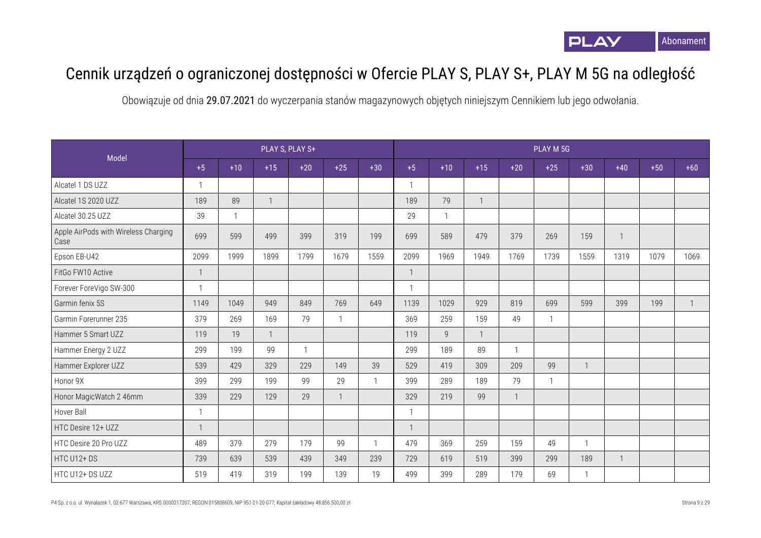

## Cennik urządzeń o ograniczonej dostępności w Ofercie PLAY S, PLAY S+, PLAY M 5G na odległość

|                                              |                |              |              | PLAY S, PLAY S+ |              |              |                |                |              |       | PLAY M 5G    |              |              |       |              |
|----------------------------------------------|----------------|--------------|--------------|-----------------|--------------|--------------|----------------|----------------|--------------|-------|--------------|--------------|--------------|-------|--------------|
| Model                                        | $+5$           | $+10$        | $+15$        | $+20$           | $+25$        | $+30$        | $+5$           | $+10$          | $+15$        | $+20$ | $+25$        | $+30$        | $+40$        | $+50$ | $+60$        |
| Alcatel 1 DS UZZ                             | $\mathbf{1}$   |              |              |                 |              |              | $\mathbf{1}$   |                |              |       |              |              |              |       |              |
| Alcatel 1S 2020 UZZ                          | 189            | 89           | $\mathbf{1}$ |                 |              |              | 189            | 79             | $\mathbf{1}$ |       |              |              |              |       |              |
| Alcatel 30.25 UZZ                            | 39             | $\mathbf{1}$ |              |                 |              |              | 29             | 1              |              |       |              |              |              |       |              |
| Apple AirPods with Wireless Charging<br>Case | 699            | 599          | 499          | 399             | 319          | 199          | 699            | 589            | 479          | 379   | 269          | 159          | $\mathbf{1}$ |       |              |
| Epson EB-U42                                 | 2099           | 1999         | 1899         | 1799            | 1679         | 1559         | 2099           | 1969           | 1949         | 1769  | 1739         | 1559         | 1319         | 1079  | 1069         |
| FitGo FW10 Active                            | $\mathbf{1}$   |              |              |                 |              |              | $\overline{1}$ |                |              |       |              |              |              |       |              |
| Forever ForeVigo SW-300                      | $\mathbf{1}$   |              |              |                 |              |              | $\mathbf{1}$   |                |              |       |              |              |              |       |              |
| Garmin fenix 5S                              | 1149           | 1049         | 949          | 849             | 769          | 649          | 1139           | 1029           | 929          | 819   | 699          | 599          | 399          | 199   | $\mathbf{1}$ |
| Garmin Forerunner 235                        | 379            | 269          | 169          | 79              | $\mathbf{1}$ |              | 369            | 259            | 159          | 49    | $\mathbf{1}$ |              |              |       |              |
| Hammer 5 Smart UZZ                           | 119            | 19           | $\mathbf{1}$ |                 |              |              | 119            | $\overline{9}$ | $\mathbf{1}$ |       |              |              |              |       |              |
| Hammer Energy 2 UZZ                          | 299            | 199          | 99           | $\mathbf{1}$    |              |              | 299            | 189            | 89           |       |              |              |              |       |              |
| Hammer Explorer UZZ                          | 539            | 429          | 329          | 229             | 149          | 39           | 529            | 419            | 309          | 209   | 99           | $\mathbf{1}$ |              |       |              |
| Honor 9X                                     | 399            | 299          | 199          | 99              | 29           | $\mathbf{1}$ | 399            | 289            | 189          | 79    | $\mathbf{1}$ |              |              |       |              |
| Honor MagicWatch 2 46mm                      | 339            | 229          | 129          | 29              | 1            |              | 329            | 219            | 99           |       |              |              |              |       |              |
| Hover Ball                                   | $\overline{1}$ |              |              |                 |              |              | $\mathbf{1}$   |                |              |       |              |              |              |       |              |
| HTC Desire 12+ UZZ                           | $\mathbf{1}$   |              |              |                 |              |              | $\mathbf{1}$   |                |              |       |              |              |              |       |              |
| HTC Desire 20 Pro UZZ                        | 489            | 379          | 279          | 179             | 99           | $\mathbf{1}$ | 479            | 369            | 259          | 159   | 49           |              |              |       |              |
| HTC U12+DS                                   | 739            | 639          | 539          | 439             | 349          | 239          | 729            | 619            | 519          | 399   | 299          | 189          | $\mathbf{1}$ |       |              |
| HTC U12+ DS UZZ                              | 519            | 419          | 319          | 199             | 139          | 19           | 499            | 399            | 289          | 179   | 69           | $\mathbf{1}$ |              |       |              |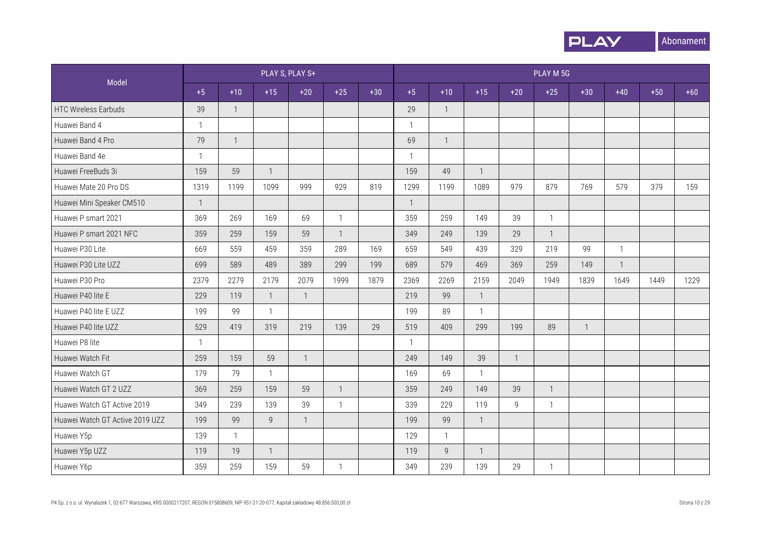

|                                 |              |                |                | PLAY S, PLAY S+ |                |       |              |                |                |              | PLAY M 5G      |                |                |       |       |
|---------------------------------|--------------|----------------|----------------|-----------------|----------------|-------|--------------|----------------|----------------|--------------|----------------|----------------|----------------|-------|-------|
| Model                           | $+5$         | $+10$          | $+15$          | $+20$           | $+25$          | $+30$ | $+5$         | $+10$          | $+15$          | $+20$        | $+25$          | $+30$          | $+40$          | $+50$ | $+60$ |
| <b>HTC Wireless Earbuds</b>     | 39           | $\overline{1}$ |                |                 |                |       | 29           | $\mathbf{1}$   |                |              |                |                |                |       |       |
| Huawei Band 4                   | $\mathbf{1}$ |                |                |                 |                |       | $\mathbf{1}$ |                |                |              |                |                |                |       |       |
| Huawei Band 4 Pro               | 79           | $\overline{1}$ |                |                 |                |       | 69           | $\overline{1}$ |                |              |                |                |                |       |       |
| Huawei Band 4e                  | $\mathbf{1}$ |                |                |                 |                |       | $\mathbf{1}$ |                |                |              |                |                |                |       |       |
| Huawei FreeBuds 3i              | 159          | 59             | $\mathbf{1}$   |                 |                |       | 159          | 49             | $\mathbf{1}$   |              |                |                |                |       |       |
| Huawei Mate 20 Pro DS           | 1319         | 1199           | 1099           | 999             | 929            | 819   | 1299         | 1199           | 1089           | 979          | 879            | 769            | 579            | 379   | 159   |
| Huawei Mini Speaker CM510       | $\mathbf{1}$ |                |                |                 |                |       | $\mathbf{1}$ |                |                |              |                |                |                |       |       |
| Huawei P smart 2021             | 369          | 269            | 169            | 69              | $\mathbf{1}$   |       | 359          | 259            | 149            | 39           | $\mathbf{1}$   |                |                |       |       |
| Huawei P smart 2021 NFC         | 359          | 259            | 159            | 59              | $\overline{1}$ |       | 349          | 249            | 139            | 29           | $\overline{1}$ |                |                |       |       |
| Huawei P30 Lite                 | 669          | 559            | 459            | 359             | 289            | 169   | 659          | 549            | 439            | 329          | 219            | 99             | $\mathbf{1}$   |       |       |
| Huawei P30 Lite UZZ             | 699          | 589            | 489            | 389             | 299            | 199   | 689          | 579            | 469            | 369          | 259            | 149            | $\overline{1}$ |       |       |
| Huawei P30 Pro                  | 2379         | 2279           | 2179           | 2079            | 1999           | 1879  | 2369         | 2269           | 2159           | 2049         | 1949           | 1839           | 1649           | 1449  | 1229  |
| Huawei P40 lite E               | 229          | 119            | $\mathbf{1}$   | $\mathbf{1}$    |                |       | 219          | 99             | $\mathbf{1}$   |              |                |                |                |       |       |
| Huawei P40 lite E UZZ           | 199          | 99             | $\mathbf{1}$   |                 |                |       | 199          | 89             | $\mathbf{1}$   |              |                |                |                |       |       |
| Huawei P40 lite UZZ             | 529          | 419            | 319            | 219             | 139            | 29    | 519          | 409            | 299            | 199          | 89             | $\overline{1}$ |                |       |       |
| Huawei P8 lite                  | $\mathbf{1}$ |                |                |                 |                |       | $\mathbf{1}$ |                |                |              |                |                |                |       |       |
| Huawei Watch Fit                | 259          | 159            | 59             | $\mathbf{1}$    |                |       | 249          | 149            | 39             | $\mathbf{1}$ |                |                |                |       |       |
| Huawei Watch GT                 | 179          | 79             | $\mathbf{1}$   |                 |                |       | 169          | 69             | $\mathbf{1}$   |              |                |                |                |       |       |
| Huawei Watch GT 2 UZZ           | 369          | 259            | 159            | 59              | $\mathbf{1}$   |       | 359          | 249            | 149            | 39           | $\mathbf{1}$   |                |                |       |       |
| Huawei Watch GT Active 2019     | 349          | 239            | 139            | 39              | $\mathbf{1}$   |       | 339          | 229            | 119            | 9            | $\mathbf{1}$   |                |                |       |       |
| Huawei Watch GT Active 2019 UZZ | 199          | 99             | 9              | $\mathbf{1}$    |                |       | 199          | 99             | $\mathbf{1}$   |              |                |                |                |       |       |
| Huawei Y5p                      | 139          | $\mathbf{1}$   |                |                 |                |       | 129          | $\mathbf{1}$   |                |              |                |                |                |       |       |
| Huawei Y5p UZZ                  | 119          | 19             | $\overline{1}$ |                 |                |       | 119          | 9              | $\overline{1}$ |              |                |                |                |       |       |
| Huawei Y6p                      | 359          | 259            | 159            | 59              | 1              |       | 349          | 239            | 139            | 29           | 1              |                |                |       |       |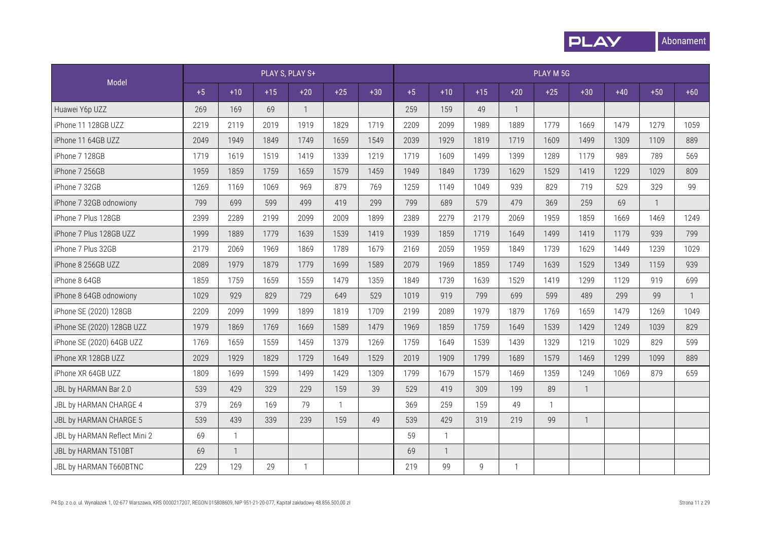

|                              |      |                |       | PLAY S, PLAY S+ |              |       |      |                |                |              | PLAY M 5G    |                |       |       |       |
|------------------------------|------|----------------|-------|-----------------|--------------|-------|------|----------------|----------------|--------------|--------------|----------------|-------|-------|-------|
| Model                        | $+5$ | $+10$          | $+15$ | $+20$           | $+25$        | $+30$ | $+5$ | $+10$          | $+15$          | $+20$        | $+25$        | $+30$          | $+40$ | $+50$ | $+60$ |
| Huawei Y6p UZZ               | 269  | 169            | 69    | $\mathbf{1}$    |              |       | 259  | 159            | 49             | -1           |              |                |       |       |       |
| iPhone 11 128GB UZZ          | 2219 | 2119           | 2019  | 1919            | 1829         | 1719  | 2209 | 2099           | 1989           | 1889         | 1779         | 1669           | 1479  | 1279  | 1059  |
| iPhone 11 64GB UZZ           | 2049 | 1949           | 1849  | 1749            | 1659         | 1549  | 2039 | 1929           | 1819           | 1719         | 1609         | 1499           | 1309  | 1109  | 889   |
| iPhone 7 128GB               | 1719 | 1619           | 1519  | 1419            | 1339         | 1219  | 1719 | 1609           | 1499           | 1399         | 1289         | 1179           | 989   | 789   | 569   |
| iPhone 7 256GB               | 1959 | 1859           | 1759  | 1659            | 1579         | 1459  | 1949 | 1849           | 1739           | 1629         | 1529         | 1419           | 1229  | 1029  | 809   |
| iPhone 7 32GB                | 1269 | 1169           | 1069  | 969             | 879          | 769   | 1259 | 1149           | 1049           | 939          | 829          | 719            | 529   | 329   | 99    |
| iPhone 7 32GB odnowiony      | 799  | 699            | 599   | 499             | 419          | 299   | 799  | 689            | 579            | 479          | 369          | 259            | 69    |       |       |
| iPhone 7 Plus 128GB          | 2399 | 2289           | 2199  | 2099            | 2009         | 1899  | 2389 | 2279           | 2179           | 2069         | 1959         | 1859           | 1669  | 1469  | 1249  |
| iPhone 7 Plus 128GB UZZ      | 1999 | 1889           | 1779  | 1639            | 1539         | 1419  | 1939 | 1859           | 1719           | 1649         | 1499         | 1419           | 1179  | 939   | 799   |
| iPhone 7 Plus 32GB           | 2179 | 2069           | 1969  | 1869            | 1789         | 1679  | 2169 | 2059           | 1959           | 1849         | 1739         | 1629           | 1449  | 1239  | 1029  |
| iPhone 8 256GB UZZ           | 2089 | 1979           | 1879  | 1779            | 1699         | 1589  | 2079 | 1969           | 1859           | 1749         | 1639         | 1529           | 1349  | 1159  | 939   |
| iPhone 8 64GB                | 1859 | 1759           | 1659  | 1559            | 1479         | 1359  | 1849 | 1739           | 1639           | 1529         | 1419         | 1299           | 1129  | 919   | 699   |
| iPhone 8 64GB odnowiony      | 1029 | 929            | 829   | 729             | 649          | 529   | 1019 | 919            | 799            | 699          | 599          | 489            | 299   | 99    | 1     |
| iPhone SE (2020) 128GB       | 2209 | 2099           | 1999  | 1899            | 1819         | 1709  | 2199 | 2089           | 1979           | 1879         | 1769         | 1659           | 1479  | 1269  | 1049  |
| iPhone SE (2020) 128GB UZZ   | 1979 | 1869           | 1769  | 1669            | 1589         | 1479  | 1969 | 1859           | 1759           | 1649         | 1539         | 1429           | 1249  | 1039  | 829   |
| iPhone SE (2020) 64GB UZZ    | 1769 | 1659           | 1559  | 1459            | 1379         | 1269  | 1759 | 1649           | 1539           | 1439         | 1329         | 1219           | 1029  | 829   | 599   |
| iPhone XR 128GB UZZ          | 2029 | 1929           | 1829  | 1729            | 1649         | 1529  | 2019 | 1909           | 1799           | 1689         | 1579         | 1469           | 1299  | 1099  | 889   |
| iPhone XR 64GB UZZ           | 1809 | 1699           | 1599  | 1499            | 1429         | 1309  | 1799 | 1679           | 1579           | 1469         | 1359         | 1249           | 1069  | 879   | 659   |
| JBL by HARMAN Bar 2.0        | 539  | 429            | 329   | 229             | 159          | 39    | 529  | 419            | 309            | 199          | 89           | $\overline{1}$ |       |       |       |
| JBL by HARMAN CHARGE 4       | 379  | 269            | 169   | 79              | $\mathbf{1}$ |       | 369  | 259            | 159            | 49           | $\mathbf{1}$ |                |       |       |       |
| JBL by HARMAN CHARGE 5       | 539  | 439            | 339   | 239             | 159          | 49    | 539  | 429            | 319            | 219          | 99           | $\mathbf{1}$   |       |       |       |
| JBL by HARMAN Reflect Mini 2 | 69   | $\mathbf{1}$   |       |                 |              |       | 59   | $\mathbf{1}$   |                |              |              |                |       |       |       |
| JBL by HARMAN T510BT         | 69   | $\overline{1}$ |       |                 |              |       | 69   | $\overline{1}$ |                |              |              |                |       |       |       |
| JBL by HARMAN T660BTNC       | 229  | 129            | 29    | $\mathbf{1}$    |              |       | 219  | 99             | $\overline{9}$ | $\mathbf{1}$ |              |                |       |       |       |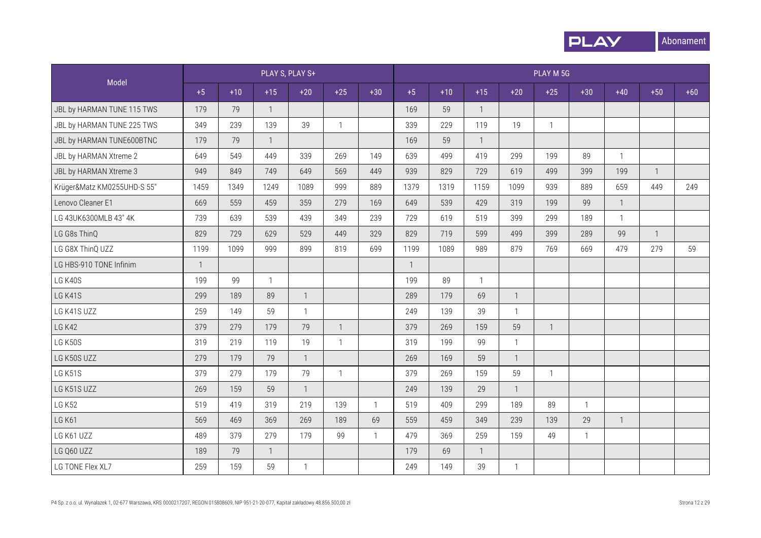

|                             |              |       |              | PLAY S, PLAY S+ |                |              |              |       |              |              | PLAY M 5G      |              |              |              |       |
|-----------------------------|--------------|-------|--------------|-----------------|----------------|--------------|--------------|-------|--------------|--------------|----------------|--------------|--------------|--------------|-------|
| Model                       | $+5$         | $+10$ | $+15$        | $+20$           | $+25$          | $+30$        | $+5$         | $+10$ | $+15$        | $+20$        | $+25$          | $+30$        | $+40$        | $+50$        | $+60$ |
| JBL by HARMAN TUNE 115 TWS  | 179          | 79    | $\mathbf{1}$ |                 |                |              | 169          | 59    | $\mathbf{1}$ |              |                |              |              |              |       |
| JBL by HARMAN TUNE 225 TWS  | 349          | 239   | 139          | 39              | $\mathbf{1}$   |              | 339          | 229   | 119          | 19           | $\mathbf{1}$   |              |              |              |       |
| JBL by HARMAN TUNE600BTNC   | 179          | 79    | $\mathbf{1}$ |                 |                |              | 169          | 59    | $\mathbf{1}$ |              |                |              |              |              |       |
| JBL by HARMAN Xtreme 2      | 649          | 549   | 449          | 339             | 269            | 149          | 639          | 499   | 419          | 299          | 199            | 89           | $\mathbf{1}$ |              |       |
| JBL by HARMAN Xtreme 3      | 949          | 849   | 749          | 649             | 569            | 449          | 939          | 829   | 729          | 619          | 499            | 399          | 199          | $\mathbf{1}$ |       |
| Krüger&Matz KM0255UHD-S 55" | 1459         | 1349  | 1249         | 1089            | 999            | 889          | 1379         | 1319  | 1159         | 1099         | 939            | 889          | 659          | 449          | 249   |
| Lenovo Cleaner E1           | 669          | 559   | 459          | 359             | 279            | 169          | 649          | 539   | 429          | 319          | 199            | 99           | $\mathbf{1}$ |              |       |
| LG 43UK6300MLB 43" 4K       | 739          | 639   | 539          | 439             | 349            | 239          | 729          | 619   | 519          | 399          | 299            | 189          | $\mathbf{1}$ |              |       |
| LG G8s ThinQ                | 829          | 729   | 629          | 529             | 449            | 329          | 829          | 719   | 599          | 499          | 399            | 289          | 99           | $\mathbf{1}$ |       |
| LG G8X ThinQ UZZ            | 1199         | 1099  | 999          | 899             | 819            | 699          | 1199         | 1089  | 989          | 879          | 769            | 669          | 479          | 279          | 59    |
| LG HBS-910 TONE Infinim     | $\mathbf{1}$ |       |              |                 |                |              | $\mathbf{1}$ |       |              |              |                |              |              |              |       |
| LG K40S                     | 199          | 99    |              |                 |                |              | 199          | 89    | $\mathbf{1}$ |              |                |              |              |              |       |
| LG K41S                     | 299          | 189   | 89           | $\mathbf{1}$    |                |              | 289          | 179   | 69           | $\mathbf{1}$ |                |              |              |              |       |
| LG K41S UZZ                 | 259          | 149   | 59           | $\mathbf{1}$    |                |              | 249          | 139   | 39           | $\mathbf{1}$ |                |              |              |              |       |
| <b>LG K42</b>               | 379          | 279   | 179          | 79              | $\overline{1}$ |              | 379          | 269   | 159          | 59           | $\overline{1}$ |              |              |              |       |
| LG K50S                     | 319          | 219   | 119          | 19              | $\mathbf{1}$   |              | 319          | 199   | 99           | $\mathbf{1}$ |                |              |              |              |       |
| LG K50S UZZ                 | 279          | 179   | 79           | $\mathbf{1}$    |                |              | 269          | 169   | 59           | $\mathbf{1}$ |                |              |              |              |       |
| LG K51S                     | 379          | 279   | 179          | 79              | $\mathbf{1}$   |              | 379          | 269   | 159          | 59           | $\mathbf{1}$   |              |              |              |       |
| LG K51S UZZ                 | 269          | 159   | 59           | $\mathbf{1}$    |                |              | 249          | 139   | 29           | $\mathbf{1}$ |                |              |              |              |       |
| <b>LG K52</b>               | 519          | 419   | 319          | 219             | 139            | $\mathbf{1}$ | 519          | 409   | 299          | 189          | 89             | $\mathbf{1}$ |              |              |       |
| <b>LG K61</b>               | 569          | 469   | 369          | 269             | 189            | 69           | 559          | 459   | 349          | 239          | 139            | 29           | $\mathbf{1}$ |              |       |
| LG K61 UZZ                  | 489          | 379   | 279          | 179             | 99             | $\mathbf{1}$ | 479          | 369   | 259          | 159          | 49             | $\mathbf{1}$ |              |              |       |
| LG Q60 UZZ                  | 189          | 79    | $\mathbf{1}$ |                 |                |              | 179          | 69    | $\mathbf{1}$ |              |                |              |              |              |       |
| LG TONE Flex XL7            | 259          | 159   | 59           | $\mathbf{1}$    |                |              | 249          | 149   | 39           | $\mathbf{1}$ |                |              |              |              |       |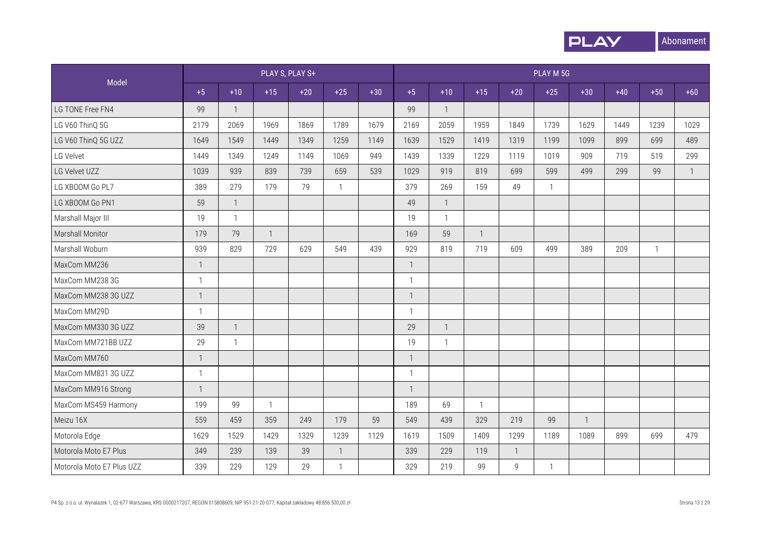

|                           |                |                         |                | PLAY S, PLAY S+ |                |       |                |                |              |              | PLAY M 5G    |                |       |              |                |
|---------------------------|----------------|-------------------------|----------------|-----------------|----------------|-------|----------------|----------------|--------------|--------------|--------------|----------------|-------|--------------|----------------|
| Model                     | $+5$           | $+10$                   | $+15$          | $+20$           | $+25$          | $+30$ | $+5$           | $+10$          | $+15$        | $+20$        | $+25$        | $+30$          | $+40$ | $+50$        | $+60$          |
| LG TONE Free FN4          | 99             | $\overline{1}$          |                |                 |                |       | 99             | $\mathbf{1}$   |              |              |              |                |       |              |                |
| LG V60 ThinQ 5G           | 2179           | 2069                    | 1969           | 1869            | 1789           | 1679  | 2169           | 2059           | 1959         | 1849         | 1739         | 1629           | 1449  | 1239         | 1029           |
| LG V60 ThinQ 5G UZZ       | 1649           | 1549                    | 1449           | 1349            | 1259           | 1149  | 1639           | 1529           | 1419         | 1319         | 1199         | 1099           | 899   | 699          | 489            |
| LG Velvet                 | 1449           | 1349                    | 1249           | 1149            | 1069           | 949   | 1439           | 1339           | 1229         | 1119         | 1019         | 909            | 719   | 519          | 299            |
| LG Velvet UZZ             | 1039           | 939                     | 839            | 739             | 659            | 539   | 1029           | 919            | 819          | 699          | 599          | 499            | 299   | 99           | $\overline{1}$ |
| LG XBOOM Go PL7           | 389            | 279                     | 179            | 79              | $\mathbf{1}$   |       | 379            | 269            | 159          | 49           | $\mathbf{1}$ |                |       |              |                |
| LG XBOOM Go PN1           | 59             | $\overline{1}$          |                |                 |                |       | 49             | $\mathbf{1}$   |              |              |              |                |       |              |                |
| Marshall Major III        | 19             | $\mathbf{1}$            |                |                 |                |       | 19             | $\mathbf{1}$   |              |              |              |                |       |              |                |
| Marshall Monitor          | 179            | 79                      | $\overline{1}$ |                 |                |       | 169            | 59             | $\mathbf{1}$ |              |              |                |       |              |                |
| Marshall Woburn           | 939            | 829                     | 729            | 629             | 549            | 439   | 929            | 819            | 719          | 609          | 499          | 389            | 209   | $\mathbf{1}$ |                |
| MaxCom MM236              | $\mathbf{1}$   |                         |                |                 |                |       | 1              |                |              |              |              |                |       |              |                |
| MaxCom MM238 3G           | $\mathbf{1}$   |                         |                |                 |                |       | $\mathbf{1}$   |                |              |              |              |                |       |              |                |
| MaxCom MM238 3G UZZ       | $\mathbf{1}$   |                         |                |                 |                |       | -1             |                |              |              |              |                |       |              |                |
| MaxCom MM29D              | $\mathbf{1}$   |                         |                |                 |                |       | $\overline{1}$ |                |              |              |              |                |       |              |                |
| MaxCom MM330 3G UZZ       | 39             | $\overline{\mathbf{1}}$ |                |                 |                |       | 29             | $\overline{1}$ |              |              |              |                |       |              |                |
| MaxCom MM721BB UZZ        | 29             | $\mathbf{1}$            |                |                 |                |       | 19             | $\mathbf{1}$   |              |              |              |                |       |              |                |
| MaxCom MM760              | $\mathbf{1}$   |                         |                |                 |                |       | $\overline{1}$ |                |              |              |              |                |       |              |                |
| MaxCom MM831 3G UZZ       | $\mathbf{1}$   |                         |                |                 |                |       | $\mathbf 1$    |                |              |              |              |                |       |              |                |
| MaxCom MM916 Strong       | $\overline{1}$ |                         |                |                 |                |       | -1             |                |              |              |              |                |       |              |                |
| MaxCom MS459 Harmony      | 199            | 99                      | $\mathbf{1}$   |                 |                |       | 189            | 69             | $\mathbf{1}$ |              |              |                |       |              |                |
| Meizu 16X                 | 559            | 459                     | 359            | 249             | 179            | 59    | 549            | 439            | 329          | 219          | 99           | $\overline{1}$ |       |              |                |
| Motorola Edge             | 1629           | 1529                    | 1429           | 1329            | 1239           | 1129  | 1619           | 1509           | 1409         | 1299         | 1189         | 1089           | 899   | 699          | 479            |
| Motorola Moto E7 Plus     | 349            | 239                     | 139            | 39              | $\overline{1}$ |       | 339            | 229            | 119          | $\mathbf{1}$ |              |                |       |              |                |
| Motorola Moto E7 Plus UZZ | 339            | 229                     | 129            | 29              | $\mathbf{1}$   |       | 329            | 219            | 99           | 9            | $\mathbf{1}$ |                |       |              |                |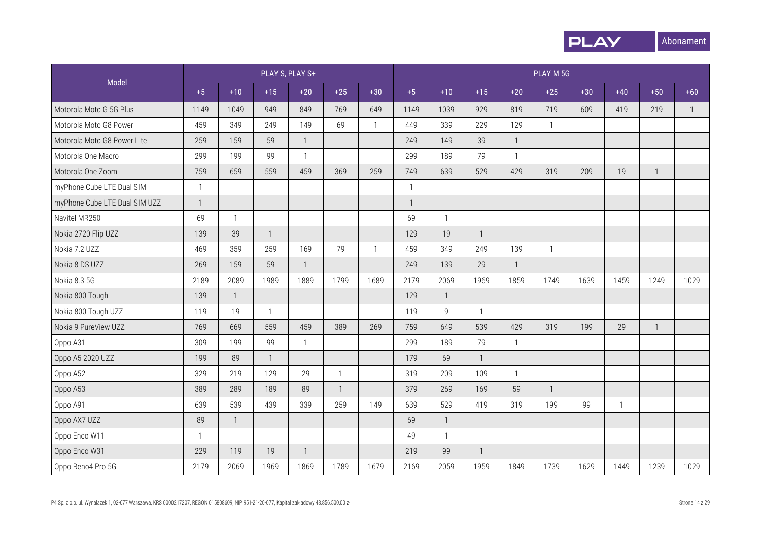

|                               |                |                |                | PLAY S, PLAY S+ |                |              |              |              |              |              | PLAY M 5G    |       |              |              |              |
|-------------------------------|----------------|----------------|----------------|-----------------|----------------|--------------|--------------|--------------|--------------|--------------|--------------|-------|--------------|--------------|--------------|
| Model                         | $+5$           | $+10$          | $+15$          | $+20$           | $+25$          | $+30$        | $+5$         | $+10$        | $+15$        | $+20$        | $+25$        | $+30$ | $+40$        | $+50$        | $+60$        |
| Motorola Moto G 5G Plus       | 1149           | 1049           | 949            | 849             | 769            | 649          | 1149         | 1039         | 929          | 819          | 719          | 609   | 419          | 219          | $\mathbf{1}$ |
| Motorola Moto G8 Power        | 459            | 349            | 249            | 149             | 69             | $\mathbf{1}$ | 449          | 339          | 229          | 129          | $\mathbf{1}$ |       |              |              |              |
| Motorola Moto G8 Power Lite   | 259            | 159            | 59             | $\mathbf{1}$    |                |              | 249          | 149          | 39           | $\mathbf{1}$ |              |       |              |              |              |
| Motorola One Macro            | 299            | 199            | 99             | $\mathbf{1}$    |                |              | 299          | 189          | 79           | $\mathbf{1}$ |              |       |              |              |              |
| Motorola One Zoom             | 759            | 659            | 559            | 459             | 369            | 259          | 749          | 639          | 529          | 429          | 319          | 209   | 19           | $\mathbf{1}$ |              |
| myPhone Cube LTE Dual SIM     | $\mathbf{1}$   |                |                |                 |                |              | $\mathbf{1}$ |              |              |              |              |       |              |              |              |
| myPhone Cube LTE Dual SIM UZZ | $\overline{1}$ |                |                |                 |                |              | $\mathbf 1$  |              |              |              |              |       |              |              |              |
| Navitel MR250                 | 69             | $\mathbf{1}$   |                |                 |                |              | 69           | $\mathbf{1}$ |              |              |              |       |              |              |              |
| Nokia 2720 Flip UZZ           | 139            | 39             | $\overline{1}$ |                 |                |              | 129          | 19           | $\mathbf{1}$ |              |              |       |              |              |              |
| Nokia 7.2 UZZ                 | 469            | 359            | 259            | 169             | 79             | $\mathbf{1}$ | 459          | 349          | 249          | 139          | $\mathbf{1}$ |       |              |              |              |
| Nokia 8 DS UZZ                | 269            | 159            | 59             | $\mathbf{1}$    |                |              | 249          | 139          | 29           | $\mathbf{1}$ |              |       |              |              |              |
| Nokia 8.3 5G                  | 2189           | 2089           | 1989           | 1889            | 1799           | 1689         | 2179         | 2069         | 1969         | 1859         | 1749         | 1639  | 1459         | 1249         | 1029         |
| Nokia 800 Tough               | 139            | $\overline{1}$ |                |                 |                |              | 129          | $\mathbf{1}$ |              |              |              |       |              |              |              |
| Nokia 800 Tough UZZ           | 119            | 19             | 1              |                 |                |              | 119          | $\mathsf{g}$ | $\mathbf{1}$ |              |              |       |              |              |              |
| Nokia 9 PureView UZZ          | 769            | 669            | 559            | 459             | 389            | 269          | 759          | 649          | 539          | 429          | 319          | 199   | 29           | $\mathbf{1}$ |              |
| Oppo A31                      | 309            | 199            | 99             | $\mathbf{1}$    |                |              | 299          | 189          | 79           | $\mathbf{1}$ |              |       |              |              |              |
| Oppo A5 2020 UZZ              | 199            | 89             | $\mathbf{1}$   |                 |                |              | 179          | 69           | $\mathbf{1}$ |              |              |       |              |              |              |
| Oppo A52                      | 329            | 219            | 129            | 29              | $\mathbf{1}$   |              | 319          | 209          | 109          | $\mathbf{1}$ |              |       |              |              |              |
| Oppo A53                      | 389            | 289            | 189            | 89              | $\overline{1}$ |              | 379          | 269          | 169          | 59           | $\mathbf{1}$ |       |              |              |              |
| Oppo A91                      | 639            | 539            | 439            | 339             | 259            | 149          | 639          | 529          | 419          | 319          | 199          | 99    | $\mathbf{1}$ |              |              |
| Oppo AX7 UZZ                  | 89             | $\overline{1}$ |                |                 |                |              | 69           | $\mathbf{1}$ |              |              |              |       |              |              |              |
| Oppo Enco W11                 | $\mathbf{1}$   |                |                |                 |                |              | 49           | $\mathbf{1}$ |              |              |              |       |              |              |              |
| Oppo Enco W31                 | 229            | 119            | 19             | $\mathbf{1}$    |                |              | 219          | 99           | $\mathbf{1}$ |              |              |       |              |              |              |
| Oppo Reno4 Pro 5G             | 2179           | 2069           | 1969           | 1869            | 1789           | 1679         | 2169         | 2059         | 1959         | 1849         | 1739         | 1629  | 1449         | 1239         | 1029         |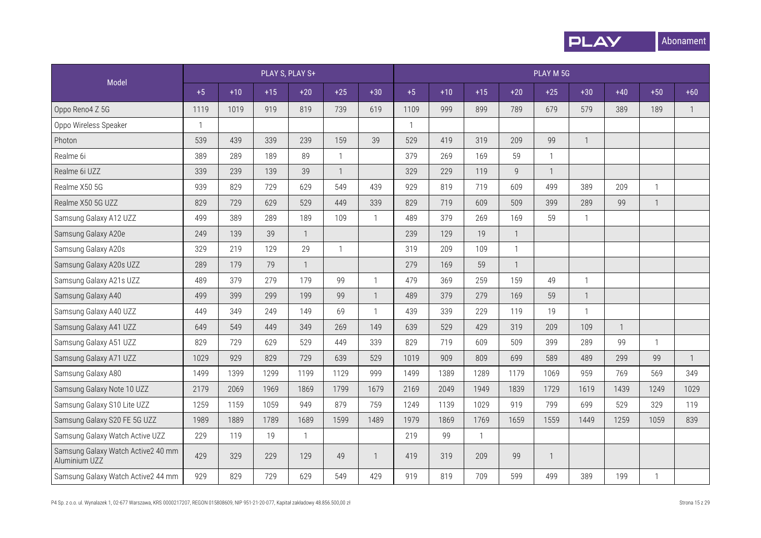

|                                                     |              |       |       | PLAY S, PLAY S+ |              |                |              |       |              |                | PLAY M 5G    |                |              |              |              |
|-----------------------------------------------------|--------------|-------|-------|-----------------|--------------|----------------|--------------|-------|--------------|----------------|--------------|----------------|--------------|--------------|--------------|
| Model                                               | $+5$         | $+10$ | $+15$ | $+20$           | $+25$        | $+30$          | $+5$         | $+10$ | $+15$        | $+20$          | $+25$        | $+30$          | $+40$        | $+50$        | $+60$        |
| Oppo Reno4 Z 5G                                     | 1119         | 1019  | 919   | 819             | 739          | 619            | 1109         | 999   | 899          | 789            | 679          | 579            | 389          | 189          | $\mathbf{1}$ |
| Oppo Wireless Speaker                               | $\mathbf{1}$ |       |       |                 |              |                | $\mathbf{1}$ |       |              |                |              |                |              |              |              |
| Photon                                              | 539          | 439   | 339   | 239             | 159          | 39             | 529          | 419   | 319          | 209            | 99           | $\overline{1}$ |              |              |              |
| Realme 6i                                           | 389          | 289   | 189   | 89              | $\mathbf{1}$ |                | 379          | 269   | 169          | 59             | $\mathbf{1}$ |                |              |              |              |
| Realme 6i UZZ                                       | 339          | 239   | 139   | 39              | $\mathbf{1}$ |                | 329          | 229   | 119          | $\overline{9}$ | $\mathbf{1}$ |                |              |              |              |
| Realme X50 5G                                       | 939          | 829   | 729   | 629             | 549          | 439            | 929          | 819   | 719          | 609            | 499          | 389            | 209          | $\mathbf{1}$ |              |
| Realme X50 5G UZZ                                   | 829          | 729   | 629   | 529             | 449          | 339            | 829          | 719   | 609          | 509            | 399          | 289            | 99           | $\mathbf{1}$ |              |
| Samsung Galaxy A12 UZZ                              | 499          | 389   | 289   | 189             | 109          | $\mathbf{1}$   | 489          | 379   | 269          | 169            | 59           | $\mathbf{1}$   |              |              |              |
| Samsung Galaxy A20e                                 | 249          | 139   | 39    | $\mathbf{1}$    |              |                | 239          | 129   | 19           | $\mathbf{1}$   |              |                |              |              |              |
| Samsung Galaxy A20s                                 | 329          | 219   | 129   | 29              | $\mathbf{1}$ |                | 319          | 209   | 109          | $\mathbf{1}$   |              |                |              |              |              |
| Samsung Galaxy A20s UZZ                             | 289          | 179   | 79    | $\mathbf{1}$    |              |                | 279          | 169   | 59           | $\mathbf{1}$   |              |                |              |              |              |
| Samsung Galaxy A21s UZZ                             | 489          | 379   | 279   | 179             | 99           | $\overline{1}$ | 479          | 369   | 259          | 159            | 49           | $\mathbf{1}$   |              |              |              |
| Samsung Galaxy A40                                  | 499          | 399   | 299   | 199             | 99           | $\overline{1}$ | 489          | 379   | 279          | 169            | 59           | $\overline{1}$ |              |              |              |
| Samsung Galaxy A40 UZZ                              | 449          | 349   | 249   | 149             | 69           | $\mathbf{1}$   | 439          | 339   | 229          | 119            | 19           | $\mathbf{1}$   |              |              |              |
| Samsung Galaxy A41 UZZ                              | 649          | 549   | 449   | 349             | 269          | 149            | 639          | 529   | 429          | 319            | 209          | 109            | $\mathbf{1}$ |              |              |
| Samsung Galaxy A51 UZZ                              | 829          | 729   | 629   | 529             | 449          | 339            | 829          | 719   | 609          | 509            | 399          | 289            | 99           | $\mathbf{1}$ |              |
| Samsung Galaxy A71 UZZ                              | 1029         | 929   | 829   | 729             | 639          | 529            | 1019         | 909   | 809          | 699            | 589          | 489            | 299          | 99           | $\mathbf{1}$ |
| Samsung Galaxy A80                                  | 1499         | 1399  | 1299  | 1199            | 1129         | 999            | 1499         | 1389  | 1289         | 1179           | 1069         | 959            | 769          | 569          | 349          |
| Samsung Galaxy Note 10 UZZ                          | 2179         | 2069  | 1969  | 1869            | 1799         | 1679           | 2169         | 2049  | 1949         | 1839           | 1729         | 1619           | 1439         | 1249         | 1029         |
| Samsung Galaxy S10 Lite UZZ                         | 1259         | 1159  | 1059  | 949             | 879          | 759            | 1249         | 1139  | 1029         | 919            | 799          | 699            | 529          | 329          | 119          |
| Samsung Galaxy S20 FE 5G UZZ                        | 1989         | 1889  | 1789  | 1689            | 1599         | 1489           | 1979         | 1869  | 1769         | 1659           | 1559         | 1449           | 1259         | 1059         | 839          |
| Samsung Galaxy Watch Active UZZ                     | 229          | 119   | 19    | $\mathbf{1}$    |              |                | 219          | 99    | $\mathbf{1}$ |                |              |                |              |              |              |
| Samsung Galaxy Watch Active2 40 mm<br>Aluminium UZZ | 429          | 329   | 229   | 129             | 49           | $\overline{1}$ | 419          | 319   | 209          | 99             | $\mathbf{1}$ |                |              |              |              |
| Samsung Galaxy Watch Active2 44 mm                  | 929          | 829   | 729   | 629             | 549          | 429            | 919          | 819   | 709          | 599            | 499          | 389            | 199          | $\mathbf{1}$ |              |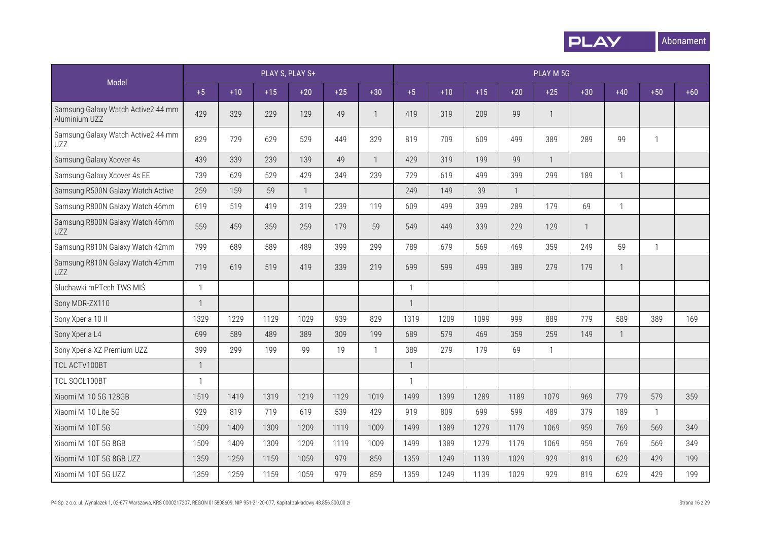

|                                                     |              |       |       | PLAY S, PLAY S+ |       |                |              |       |       |              | PLAY M 5G      |              |              |              |       |
|-----------------------------------------------------|--------------|-------|-------|-----------------|-------|----------------|--------------|-------|-------|--------------|----------------|--------------|--------------|--------------|-------|
| Model                                               | $+5$         | $+10$ | $+15$ | $+20$           | $+25$ | $+30$          | $+5$         | $+10$ | $+15$ | $+20$        | $+25$          | $+30$        | $+40$        | $+50$        | $+60$ |
| Samsung Galaxy Watch Active2 44 mm<br>Aluminium UZZ | 429          | 329   | 229   | 129             | 49    | $\mathbf{1}$   | 419          | 319   | 209   | 99           | $\overline{1}$ |              |              |              |       |
| Samsung Galaxy Watch Active2 44 mm<br><b>UZZ</b>    | 829          | 729   | 629   | 529             | 449   | 329            | 819          | 709   | 609   | 499          | 389            | 289          | 99           | $\mathbf{1}$ |       |
| Samsung Galaxy Xcover 4s                            | 439          | 339   | 239   | 139             | 49    | $\mathbf{1}$   | 429          | 319   | 199   | 99           | $\overline{1}$ |              |              |              |       |
| Samsung Galaxy Xcover 4s EE                         | 739          | 629   | 529   | 429             | 349   | 239            | 729          | 619   | 499   | 399          | 299            | 189          | $\mathbf{1}$ |              |       |
| Samsung R500N Galaxy Watch Active                   | 259          | 159   | 59    | $\mathbf{1}$    |       |                | 249          | 149   | 39    | $\mathbf{1}$ |                |              |              |              |       |
| Samsung R800N Galaxy Watch 46mm                     | 619          | 519   | 419   | 319             | 239   | 119            | 609          | 499   | 399   | 289          | 179            | 69           | $\mathbf{1}$ |              |       |
| Samsung R800N Galaxy Watch 46mm<br>UZZ              | 559          | 459   | 359   | 259             | 179   | 59             | 549          | 449   | 339   | 229          | 129            | $\mathbf{1}$ |              |              |       |
| Samsung R810N Galaxy Watch 42mm                     | 799          | 689   | 589   | 489             | 399   | 299            | 789          | 679   | 569   | 469          | 359            | 249          | 59           | $\mathbf{1}$ |       |
| Samsung R810N Galaxy Watch 42mm<br>UZZ              | 719          | 619   | 519   | 419             | 339   | 219            | 699          | 599   | 499   | 389          | 279            | 179          | $\mathbf{1}$ |              |       |
| Słuchawki mPTech TWS MIŚ                            | $\mathbf{1}$ |       |       |                 |       |                | $\mathbf{1}$ |       |       |              |                |              |              |              |       |
| Sony MDR-ZX110                                      | $\mathbf{1}$ |       |       |                 |       |                | $\mathbf{1}$ |       |       |              |                |              |              |              |       |
| Sony Xperia 10 II                                   | 1329         | 1229  | 1129  | 1029            | 939   | 829            | 1319         | 1209  | 1099  | 999          | 889            | 779          | 589          | 389          | 169   |
| Sony Xperia L4                                      | 699          | 589   | 489   | 389             | 309   | 199            | 689          | 579   | 469   | 359          | 259            | 149          | $\mathbf{1}$ |              |       |
| Sony Xperia XZ Premium UZZ                          | 399          | 299   | 199   | 99              | 19    | $\overline{1}$ | 389          | 279   | 179   | 69           | $\mathbf{1}$   |              |              |              |       |
| TCL ACTV100BT                                       | $\mathbf{1}$ |       |       |                 |       |                | $\mathbf{1}$ |       |       |              |                |              |              |              |       |
| TCL SOCL100BT                                       | $\mathbf{1}$ |       |       |                 |       |                | $\mathbf{1}$ |       |       |              |                |              |              |              |       |
| Xiaomi Mi 10 5G 128GB                               | 1519         | 1419  | 1319  | 1219            | 1129  | 1019           | 1499         | 1399  | 1289  | 1189         | 1079           | 969          | 779          | 579          | 359   |
| Xiaomi Mi 10 Lite 5G                                | 929          | 819   | 719   | 619             | 539   | 429            | 919          | 809   | 699   | 599          | 489            | 379          | 189          | $\mathbf{1}$ |       |
| Xiaomi Mi 10T 5G                                    | 1509         | 1409  | 1309  | 1209            | 1119  | 1009           | 1499         | 1389  | 1279  | 1179         | 1069           | 959          | 769          | 569          | 349   |
| Xiaomi Mi 10T 5G 8GB                                | 1509         | 1409  | 1309  | 1209            | 1119  | 1009           | 1499         | 1389  | 1279  | 1179         | 1069           | 959          | 769          | 569          | 349   |
| Xiaomi Mi 10T 5G 8GB UZZ                            | 1359         | 1259  | 1159  | 1059            | 979   | 859            | 1359         | 1249  | 1139  | 1029         | 929            | 819          | 629          | 429          | 199   |
| Xiaomi Mi 10T 5G UZZ                                | 1359         | 1259  | 1159  | 1059            | 979   | 859            | 1359         | 1249  | 1139  | 1029         | 929            | 819          | 629          | 429          | 199   |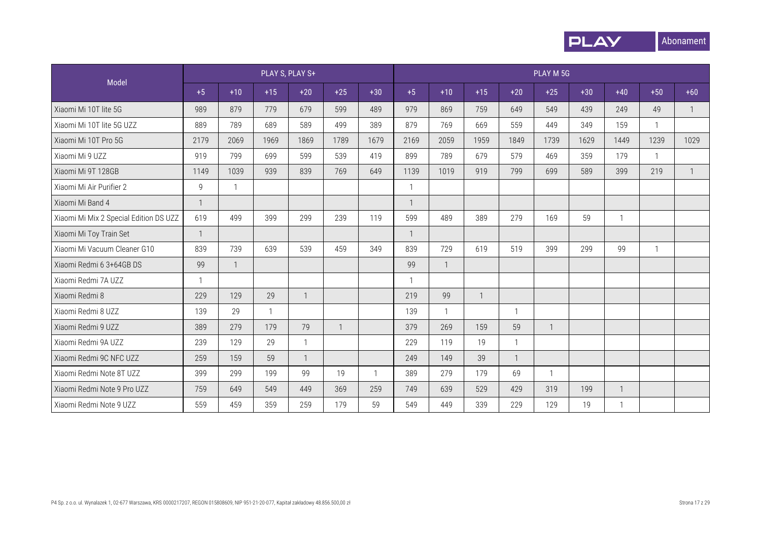

| Model                                  |              |                |              | PLAY S, PLAY S+ |              |       |              |              |       |              | PLAY M 5G    |       |              |              |              |
|----------------------------------------|--------------|----------------|--------------|-----------------|--------------|-------|--------------|--------------|-------|--------------|--------------|-------|--------------|--------------|--------------|
|                                        | $+5$         | $+10$          | $+15$        | $+20$           | $+25$        | $+30$ | $+5$         | $+10$        | $+15$ | $+20$        | $+25$        | $+30$ | $+40$        | $+50$        | $+60$        |
| Xiaomi Mi 10T lite 5G                  | 989          | 879            | 779          | 679             | 599          | 489   | 979          | 869          | 759   | 649          | 549          | 439   | 249          | 49           | $\mathbf{1}$ |
| Xiaomi Mi 10T lite 5G UZZ              | 889          | 789            | 689          | 589             | 499          | 389   | 879          | 769          | 669   | 559          | 449          | 349   | 159          |              |              |
| Xiaomi Mi 10T Pro 5G                   | 2179         | 2069           | 1969         | 1869            | 1789         | 1679  | 2169         | 2059         | 1959  | 1849         | 1739         | 1629  | 1449         | 1239         | 1029         |
| Xiaomi Mi 9 UZZ                        | 919          | 799            | 699          | 599             | 539          | 419   | 899          | 789          | 679   | 579          | 469          | 359   | 179          | $\mathbf{1}$ |              |
| Xiaomi Mi 9T 128GB                     | 1149         | 1039           | 939          | 839             | 769          | 649   | 1139         | 1019         | 919   | 799          | 699          | 589   | 399          | 219          | $\mathbf{1}$ |
| Xiaomi Mi Air Purifier 2               | 9            | $\overline{1}$ |              |                 |              |       | $\mathbf 1$  |              |       |              |              |       |              |              |              |
| Xiaomi Mi Band 4                       | $\mathbf{1}$ |                |              |                 |              |       | $\mathbf{1}$ |              |       |              |              |       |              |              |              |
| Xiaomi Mi Mix 2 Special Edition DS UZZ | 619          | 499            | 399          | 299             | 239          | 119   | 599          | 489          | 389   | 279          | 169          | 59    | $\mathbf{1}$ |              |              |
| Xiaomi Mi Toy Train Set                | $\mathbf{1}$ |                |              |                 |              |       |              |              |       |              |              |       |              |              |              |
| Xiaomi Mi Vacuum Cleaner G10           | 839          | 739            | 639          | 539             | 459          | 349   | 839          | 729          | 619   | 519          | 399          | 299   | 99           | $\mathbf{1}$ |              |
| Xiaomi Redmi 6 3+64GB DS               | 99           | $\overline{1}$ |              |                 |              |       | 99           | $\mathbf{1}$ |       |              |              |       |              |              |              |
| Xiaomi Redmi 7A UZZ                    | $\mathbf{1}$ |                |              |                 |              |       | -1           |              |       |              |              |       |              |              |              |
| Xiaomi Redmi 8                         | 229          | 129            | 29           | $\mathbf{1}$    |              |       | 219          | 99           |       |              |              |       |              |              |              |
| Xiaomi Redmi 8 UZZ                     | 139          | 29             | $\mathbf{1}$ |                 |              |       | 139          | $\mathbf{1}$ |       | $\mathbf{1}$ |              |       |              |              |              |
| Xiaomi Redmi 9 UZZ                     | 389          | 279            | 179          | 79              | $\mathbf{1}$ |       | 379          | 269          | 159   | 59           | $\mathbf{1}$ |       |              |              |              |
| Xiaomi Redmi 9A UZZ                    | 239          | 129            | 29           | $\mathbf{1}$    |              |       | 229          | 119          | 19    | $\mathbf{1}$ |              |       |              |              |              |
| Xiaomi Redmi 9C NFC UZZ                | 259          | 159            | 59           | $\overline{1}$  |              |       | 249          | 149          | 39    | $\mathbf{1}$ |              |       |              |              |              |
| Xiaomi Redmi Note 8T UZZ               | 399          | 299            | 199          | 99              | 19           |       | 389          | 279          | 179   | 69           | 1            |       |              |              |              |
| Xiaomi Redmi Note 9 Pro UZZ            | 759          | 649            | 549          | 449             | 369          | 259   | 749          | 639          | 529   | 429          | 319          | 199   | $\mathbf{1}$ |              |              |
| Xiaomi Redmi Note 9 UZZ                | 559          | 459            | 359          | 259             | 179          | 59    | 549          | 449          | 339   | 229          | 129          | 19    | $\mathbf{1}$ |              |              |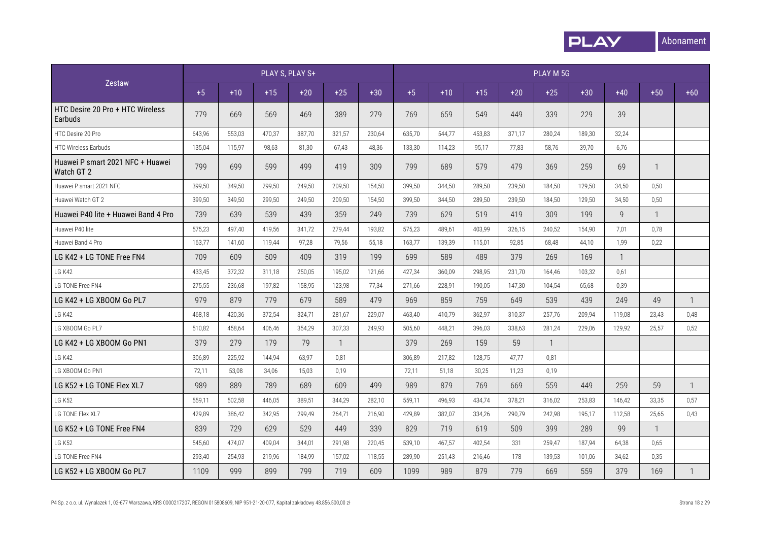

|                                                |        |        |        | PLAY S, PLAY S+ |              |        |        |        |        |        | PLAY M 5G      |        |                |              |              |
|------------------------------------------------|--------|--------|--------|-----------------|--------------|--------|--------|--------|--------|--------|----------------|--------|----------------|--------------|--------------|
| Zestaw                                         | $+5$   | $+10$  | $+15$  | $+20$           | $+25$        | $+30$  | $+5$   | $+10$  | $+15$  | $+20$  | $+25$          | $+30$  | $+40$          | $+50$        | $+60$        |
| HTC Desire 20 Pro + HTC Wireless<br>Earbuds    | 779    | 669    | 569    | 469             | 389          | 279    | 769    | 659    | 549    | 449    | 339            | 229    | 39             |              |              |
| HTC Desire 20 Pro                              | 643,96 | 553,03 | 470,37 | 387,70          | 321,57       | 230,64 | 635,70 | 544,77 | 453,83 | 371,17 | 280,24         | 189,30 | 32,24          |              |              |
| <b>HTC Wireless Earbuds</b>                    | 135,04 | 115,97 | 98,63  | 81,30           | 67,43        | 48,36  | 133,30 | 114,23 | 95,17  | 77,83  | 58,76          | 39,70  | 6,76           |              |              |
| Huawei P smart 2021 NFC + Huawei<br>Watch GT 2 | 799    | 699    | 599    | 499             | 419          | 309    | 799    | 689    | 579    | 479    | 369            | 259    | 69             | 1            |              |
| Huawei P smart 2021 NFC                        | 399,50 | 349.50 | 299.50 | 249.50          | 209.50       | 154.50 | 399.50 | 344.50 | 289.50 | 239.50 | 184.50         | 129.50 | 34.50          | 0.50         |              |
| Huawei Watch GT 2                              | 399,50 | 349,50 | 299,50 | 249,50          | 209,50       | 154,50 | 399,50 | 344,50 | 289,50 | 239,50 | 184,50         | 129,50 | 34,50          | 0,50         |              |
| Huawei P40 lite + Huawei Band 4 Pro            | 739    | 639    | 539    | 439             | 359          | 249    | 739    | 629    | 519    | 419    | 309            | 199    | $\overline{9}$ | 1            |              |
| Huawei P40 lite                                | 575,23 | 497,40 | 419,56 | 341,72          | 279,44       | 193,82 | 575,23 | 489,61 | 403,99 | 326,15 | 240,52         | 154,90 | 7,01           | 0,78         |              |
| Huawei Band 4 Pro                              | 163,77 | 141,60 | 119,44 | 97,28           | 79,56        | 55,18  | 163,77 | 139,39 | 115,01 | 92,85  | 68,48          | 44,10  | 1,99           | 0,22         |              |
| LG K42 + LG TONE Free FN4                      | 709    | 609    | 509    | 409             | 319          | 199    | 699    | 589    | 489    | 379    | 269            | 169    | $\mathbf{1}$   |              |              |
| LG K42                                         | 433,45 | 372,32 | 311,18 | 250,05          | 195,02       | 121,66 | 427,34 | 360,09 | 298,95 | 231,70 | 164,46         | 103,32 | 0,61           |              |              |
| LG TONE Free FN4                               | 275,55 | 236,68 | 197,82 | 158,95          | 123,98       | 77,34  | 271,66 | 228,91 | 190,05 | 147,30 | 104,54         | 65,68  | 0,39           |              |              |
| LG K42 + LG XBOOM Go PL7                       | 979    | 879    | 779    | 679             | 589          | 479    | 969    | 859    | 759    | 649    | 539            | 439    | 249            | 49           | $\mathbf{1}$ |
| LG K42                                         | 468,18 | 420,36 | 372,54 | 324,71          | 281,67       | 229,07 | 463,40 | 410,79 | 362,97 | 310,37 | 257,76         | 209,94 | 119,08         | 23,43        | 0,48         |
| LG XBOOM Go PL7                                | 510,82 | 458,64 | 406,46 | 354,29          | 307,33       | 249,93 | 505,60 | 448,21 | 396,03 | 338,63 | 281,24         | 229,06 | 129,92         | 25,57        | 0,52         |
| LG K42 + LG XBOOM Go PN1                       | 379    | 279    | 179    | 79              | $\mathbf{1}$ |        | 379    | 269    | 159    | 59     | $\overline{1}$ |        |                |              |              |
| LG K42                                         | 306,89 | 225,92 | 144,94 | 63,97           | 0,81         |        | 306,89 | 217,82 | 128,75 | 47,77  | 0,81           |        |                |              |              |
| LG XBOOM Go PN1                                | 72,11  | 53,08  | 34,06  | 15,03           | 0,19         |        | 72,11  | 51,18  | 30,25  | 11,23  | 0,19           |        |                |              |              |
| LG K52 + LG TONE Flex XL7                      | 989    | 889    | 789    | 689             | 609          | 499    | 989    | 879    | 769    | 669    | 559            | 449    | 259            | 59           | $\mathbf{1}$ |
| <b>LG K52</b>                                  | 559,11 | 502,58 | 446,05 | 389,51          | 344,29       | 282,10 | 559,11 | 496,93 | 434,74 | 378,21 | 316,02         | 253,83 | 146,42         | 33,35        | 0,57         |
| LG TONE Flex XL7                               | 429,89 | 386,42 | 342,95 | 299,49          | 264,71       | 216,90 | 429,89 | 382,07 | 334,26 | 290,79 | 242,98         | 195,17 | 112,58         | 25,65        | 0,43         |
| LG K52 + LG TONE Free FN4                      | 839    | 729    | 629    | 529             | 449          | 339    | 829    | 719    | 619    | 509    | 399            | 289    | 99             | $\mathbf{1}$ |              |
| <b>LG K52</b>                                  | 545,60 | 474,07 | 409,04 | 344,01          | 291,98       | 220,45 | 539,10 | 467,57 | 402,54 | 331    | 259,47         | 187,94 | 64,38          | 0,65         |              |
| LG TONE Free FN4                               | 293,40 | 254,93 | 219,96 | 184,99          | 157,02       | 118,55 | 289,90 | 251,43 | 216,46 | 178    | 139,53         | 101,06 | 34,62          | 0,35         |              |
| LG K52 + LG XBOOM Go PL7                       | 1109   | 999    | 899    | 799             | 719          | 609    | 1099   | 989    | 879    | 779    | 669            | 559    | 379            | 169          | $\mathbf{1}$ |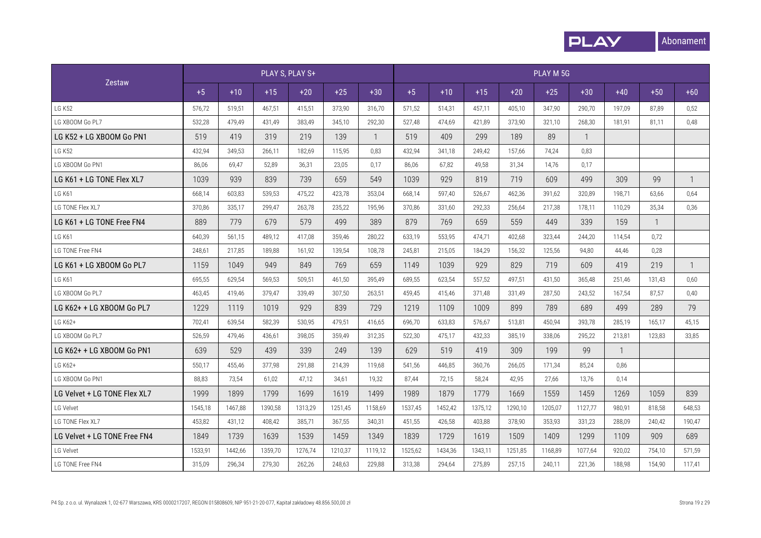

|                              |         |         |         | PLAY S, PLAY S+ |         |              |         |         |         |         | PLAY M 5G |              |              |              |              |
|------------------------------|---------|---------|---------|-----------------|---------|--------------|---------|---------|---------|---------|-----------|--------------|--------------|--------------|--------------|
| Zestaw                       | $+5$    | $+10$   | $+15$   | $+20$           | $+25$   | $+30$        | $+5$    | $+10$   | $+15$   | $+20$   | $+25$     | $+30$        | $+40$        | $+50$        | $+60$        |
| <b>LG K52</b>                | 576,72  | 519,51  | 467,51  | 415,51          | 373,90  | 316,70       | 571,52  | 514,31  | 457,11  | 405,10  | 347.90    | 290,70       | 197,09       | 87,89        | 0,52         |
| LG XBOOM Go PL7              | 532,28  | 479,49  | 431,49  | 383,49          | 345,10  | 292,30       | 527,48  | 474,69  | 421,89  | 373.90  | 321,10    | 268,30       | 181,91       | 81,11        | 0,48         |
| LG K52 + LG XBOOM Go PN1     | 519     | 419     | 319     | 219             | 139     | $\mathbf{1}$ | 519     | 409     | 299     | 189     | 89        | $\mathbf{1}$ |              |              |              |
| <b>LG K52</b>                | 432,94  | 349,53  | 266,11  | 182,69          | 115,95  | 0,83         | 432,94  | 341,18  | 249,42  | 157,66  | 74,24     | 0,83         |              |              |              |
| LG XBOOM Go PN1              | 86,06   | 69,47   | 52,89   | 36,31           | 23,05   | 0,17         | 86,06   | 67,82   | 49,58   | 31,34   | 14,76     | 0,17         |              |              |              |
| LG K61 + LG TONE Flex XL7    | 1039    | 939     | 839     | 739             | 659     | 549          | 1039    | 929     | 819     | 719     | 609       | 499          | 309          | 99           | $\mathbf{1}$ |
| <b>LG K61</b>                | 668,14  | 603,83  | 539,53  | 475,22          | 423,78  | 353,04       | 668,14  | 597.40  | 526.67  | 462.36  | 391.62    | 320,89       | 198,71       | 63,66        | 0,64         |
| LG TONE Flex XL7             | 370,86  | 335,17  | 299,47  | 263,78          | 235,22  | 195,96       | 370,86  | 331,60  | 292,33  | 256,64  | 217,38    | 178,11       | 110,29       | 35,34        | 0,36         |
| LG K61 + LG TONE Free FN4    | 889     | 779     | 679     | 579             | 499     | 389          | 879     | 769     | 659     | 559     | 449       | 339          | 159          | $\mathbf{1}$ |              |
| <b>LG K61</b>                | 640,39  | 561,15  | 489,12  | 417.08          | 359.46  | 280.22       | 633,19  | 553,95  | 474.71  | 402.68  | 323,44    | 244,20       | 114,54       | 0,72         |              |
| LG TONE Free FN4             | 248,61  | 217,85  | 189,88  | 161.92          | 139,54  | 108,78       | 245,81  | 215.05  | 184,29  | 156.32  | 125,56    | 94,80        | 44,46        | 0,28         |              |
| LG K61 + LG XBOOM Go PL7     | 1159    | 1049    | 949     | 849             | 769     | 659          | 1149    | 1039    | 929     | 829     | 719       | 609          | 419          | 219          | 1            |
| <b>LG K61</b>                | 695,55  | 629,54  | 569,53  | 509,51          | 461,50  | 395,49       | 689,55  | 623,54  | 557,52  | 497,51  | 431.50    | 365,48       | 251,46       | 131,43       | 0,60         |
| LG XBOOM Go PL7              | 463,45  | 419,46  | 379,47  | 339,49          | 307,50  | 263,51       | 459,45  | 415,46  | 371,48  | 331,49  | 287,50    | 243,52       | 167,54       | 87,57        | 0,40         |
| LG K62+ + LG XBOOM Go PL7    | 1229    | 1119    | 1019    | 929             | 839     | 729          | 1219    | 1109    | 1009    | 899     | 789       | 689          | 499          | 289          | 79           |
| LG K62+                      | 702,41  | 639,54  | 582,39  | 530.95          | 479.51  | 416,65       | 696,70  | 633,83  | 576,67  | 513.81  | 450.94    | 393,78       | 285,19       | 165,17       | 45,15        |
| LG XBOOM Go PL7              | 526,59  | 479,46  | 436,61  | 398,05          | 359.49  | 312,35       | 522,30  | 475,17  | 432,33  | 385.19  | 338.06    | 295,22       | 213,81       | 123,83       | 33,85        |
| LG K62+ + LG XBOOM Go PN1    | 639     | 529     | 439     | 339             | 249     | 139          | 629     | 519     | 419     | 309     | 199       | 99           | $\mathbf{1}$ |              |              |
| LG K62+                      | 550,17  | 455,46  | 377,98  | 291,88          | 214,39  | 119,68       | 541,56  | 446,85  | 360,76  | 266,05  | 171.34    | 85,24        | 0,86         |              |              |
| LG XBOOM Go PN1              | 88,83   | 73,54   | 61,02   | 47,12           | 34,61   | 19,32        | 87.44   | 72,15   | 58,24   | 42,95   | 27,66     | 13,76        | 0.14         |              |              |
| LG Velvet + LG TONE Flex XL7 | 1999    | 1899    | 1799    | 1699            | 1619    | 1499         | 1989    | 1879    | 1779    | 1669    | 1559      | 1459         | 1269         | 1059         | 839          |
| LG Velvet                    | 1545,18 | 1467,88 | 1390,58 | 1313.29         | 1251.45 | 1158.69      | 1537,45 | 1452,42 | 1375.12 | 1290.10 | 1205.07   | 1127.77      | 980.91       | 818,58       | 648,53       |
| LG TONE Flex XL7             | 453,82  | 431,12  | 408,42  | 385.71          | 367,55  | 340.31       | 451.55  | 426.58  | 403,88  | 378.90  | 353.93    | 331.23       | 288.09       | 240,42       | 190,47       |
| LG Velvet + LG TONE Free FN4 | 1849    | 1739    | 1639    | 1539            | 1459    | 1349         | 1839    | 1729    | 1619    | 1509    | 1409      | 1299         | 1109         | 909          | 689          |
| LG Velvet                    | 1533,91 | 1442,66 | 1359,70 | 1276.74         | 1210.37 | 1119.12      | 1525,62 | 1434,36 | 1343.11 | 1251.85 | 1168.89   | 1077.64      | 920,02       | 754,10       | 571.59       |
| LG TONE Free FN4             | 315,09  | 296,34  | 279,30  | 262,26          | 248,63  | 229,88       | 313,38  | 294,64  | 275,89  | 257,15  | 240,11    | 221,36       | 188.98       | 154,90       | 117,41       |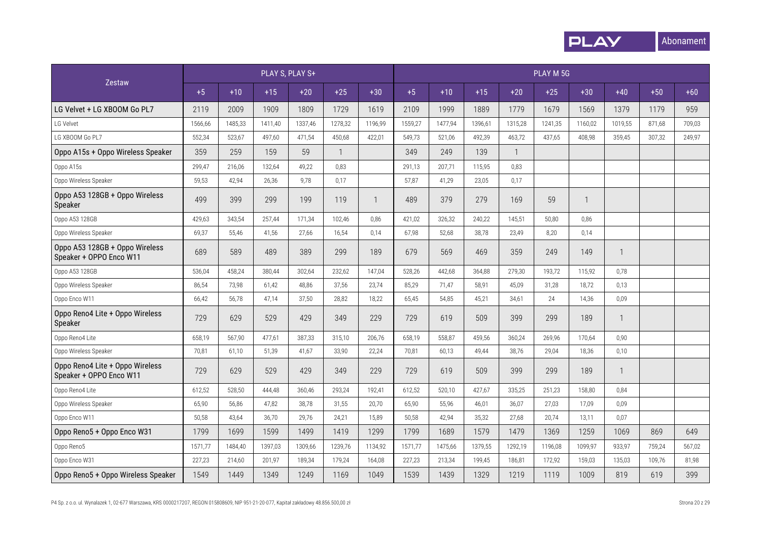

|                                                            |         |         | PLAY S, PLAY S+ |         |                |              |         |         |         |              | PLAY M 5G |              |              |        |        |
|------------------------------------------------------------|---------|---------|-----------------|---------|----------------|--------------|---------|---------|---------|--------------|-----------|--------------|--------------|--------|--------|
| Zestaw                                                     | $+5$    | $+10$   | $+15$           | $+20$   | $+25$          | $+30$        | $+5$    | $+10$   | $+15$   | $+20$        | $+25$     | $+30$        | $+40$        | $+50$  | $+60$  |
| LG Velvet + LG XBOOM Go PL7                                | 2119    | 2009    | 1909            | 1809    | 1729           | 1619         | 2109    | 1999    | 1889    | 1779         | 1679      | 1569         | 1379         | 1179   | 959    |
| LG Velvet                                                  | 1566,66 | 1485,33 | 1411,40         | 1337,46 | 1278,32        | 1196,99      | 1559,27 | 1477,94 | 1396,61 | 1315,28      | 1241,35   | 1160,02      | 1019,55      | 871,68 | 709,03 |
| LG XBOOM Go PL7                                            | 552,34  | 523,67  | 497,60          | 471,54  | 450,68         | 422,01       | 549,73  | 521,06  | 492,39  | 463,72       | 437,65    | 408,98       | 359,45       | 307,32 | 249,97 |
| Oppo A15s + Oppo Wireless Speaker                          | 359     | 259     | 159             | 59      | $\overline{1}$ |              | 349     | 249     | 139     | $\mathbf{1}$ |           |              |              |        |        |
| Oppo A15s                                                  | 299,47  | 216,06  | 132,64          | 49,22   | 0,83           |              | 291,13  | 207,71  | 115,95  | 0,83         |           |              |              |        |        |
| Oppo Wireless Speaker                                      | 59,53   | 42,94   | 26,36           | 9,78    | 0,17           |              | 57,87   | 41,29   | 23,05   | 0,17         |           |              |              |        |        |
| Oppo A53 128GB + Oppo Wireless<br>Speaker                  | 499     | 399     | 299             | 199     | 119            | $\mathbf{1}$ | 489     | 379     | 279     | 169          | 59        | $\mathbf{1}$ |              |        |        |
| Oppo A53 128GB                                             | 429,63  | 343,54  | 257,44          | 171,34  | 102,46         | 0,86         | 421,02  | 326,32  | 240,22  | 145,51       | 50,80     | 0,86         |              |        |        |
| Oppo Wireless Speaker                                      | 69,37   | 55,46   | 41,56           | 27,66   | 16,54          | 0,14         | 67,98   | 52,68   | 38,78   | 23,49        | 8,20      | 0,14         |              |        |        |
| Oppo A53 128GB + Oppo Wireless<br>Speaker + OPPO Enco W11  | 689     | 589     | 489             | 389     | 299            | 189          | 679     | 569     | 469     | 359          | 249       | 149          | $\mathbf{1}$ |        |        |
| Oppo A53 128GB                                             | 536,04  | 458,24  | 380,44          | 302,64  | 232,62         | 147,04       | 528,26  | 442,68  | 364,88  | 279,30       | 193,72    | 115,92       | 0,78         |        |        |
| Oppo Wireless Speaker                                      | 86,54   | 73,98   | 61,42           | 48,86   | 37,56          | 23,74        | 85,29   | 71,47   | 58.91   | 45,09        | 31,28     | 18,72        | 0,13         |        |        |
| Oppo Enco W11                                              | 66,42   | 56,78   | 47,14           | 37,50   | 28,82          | 18,22        | 65,45   | 54,85   | 45,21   | 34,61        | 24        | 14,36        | 0,09         |        |        |
| Oppo Reno4 Lite + Oppo Wireless<br>Speaker                 | 729     | 629     | 529             | 429     | 349            | 229          | 729     | 619     | 509     | 399          | 299       | 189          | $\mathbf{1}$ |        |        |
| Oppo Reno4 Lite                                            | 658,19  | 567,90  | 477,61          | 387,33  | 315,10         | 206,76       | 658,19  | 558,87  | 459,56  | 360,24       | 269,96    | 170.64       | 0,90         |        |        |
| Oppo Wireless Speaker                                      | 70,81   | 61,10   | 51,39           | 41,67   | 33,90          | 22,24        | 70,81   | 60,13   | 49,44   | 38,76        | 29,04     | 18,36        | 0,10         |        |        |
| Oppo Reno4 Lite + Oppo Wireless<br>Speaker + OPPO Enco W11 | 729     | 629     | 529             | 429     | 349            | 229          | 729     | 619     | 509     | 399          | 299       | 189          | $\mathbf{1}$ |        |        |
| Oppo Reno4 Lite                                            | 612,52  | 528,50  | 444,48          | 360,46  | 293.24         | 192,41       | 612,52  | 520,10  | 427,67  | 335,25       | 251,23    | 158,80       | 0,84         |        |        |
| Oppo Wireless Speaker                                      | 65,90   | 56,86   | 47,82           | 38,78   | 31,55          | 20,70        | 65,90   | 55,96   | 46,01   | 36,07        | 27,03     | 17,09        | 0,09         |        |        |
| Oppo Enco W11                                              | 50,58   | 43,64   | 36,70           | 29,76   | 24,21          | 15,89        | 50,58   | 42,94   | 35,32   | 27,68        | 20,74     | 13,11        | 0,07         |        |        |
| Oppo Reno5 + Oppo Enco W31                                 | 1799    | 1699    | 1599            | 1499    | 1419           | 1299         | 1799    | 1689    | 1579    | 1479         | 1369      | 1259         | 1069         | 869    | 649    |
| Oppo Reno5                                                 | 1571,77 | 1484,40 | 1397,03         | 1309,66 | 1239,76        | 1134,92      | 1571,77 | 1475,66 | 1379,55 | 1292,19      | 1196,08   | 1099,97      | 933,97       | 759,24 | 567,02 |
| Oppo Enco W31                                              | 227,23  | 214,60  | 201,97          | 189,34  | 179,24         | 164,08       | 227,23  | 213,34  | 199,45  | 186,81       | 172,92    | 159,03       | 135,03       | 109,76 | 81,98  |
| Oppo Reno5 + Oppo Wireless Speaker                         | 1549    | 1449    | 1349            | 1249    | 1169           | 1049         | 1539    | 1439    | 1329    | 1219         | 1119      | 1009         | 819          | 619    | 399    |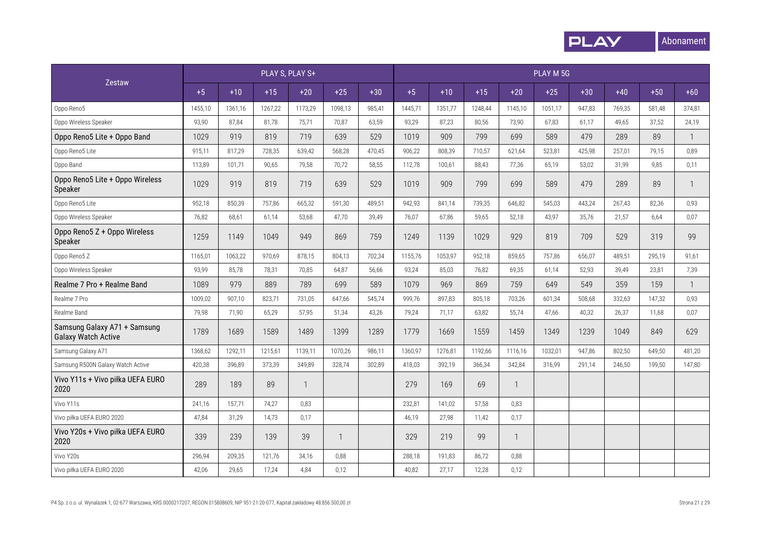

|                                                            |         |         | PLAY S, PLAY S+ |         |         |        |         |         |         |              | PLAY M 5G |        |        |        |              |
|------------------------------------------------------------|---------|---------|-----------------|---------|---------|--------|---------|---------|---------|--------------|-----------|--------|--------|--------|--------------|
| Zestaw                                                     | $+5$    | $+10$   | $+15$           | $+20$   | $+25$   | $+30$  | $+5$    | $+10$   | $+15$   | $+20$        | $+25$     | $+30$  | $+40$  | $+50$  | $+60$        |
| Oppo Reno5                                                 | 1455,10 | 1361,16 | 1267,22         | 1173,29 | 1098,13 | 985,41 | 1445,71 | 1351,77 | 1248,44 | 1145,10      | 1051,17   | 947,83 | 769,35 | 581,48 | 374,81       |
| Oppo Wireless Speaker                                      | 93,90   | 87,84   | 81,78           | 75,71   | 70,87   | 63,59  | 93,29   | 87,23   | 80,56   | 73,90        | 67,83     | 61,17  | 49,65  | 37,52  | 24,19        |
| Oppo Reno5 Lite + Oppo Band                                | 1029    | 919     | 819             | 719     | 639     | 529    | 1019    | 909     | 799     | 699          | 589       | 479    | 289    | 89     | $\mathbf{1}$ |
| Oppo Reno5 Lite                                            | 915,11  | 817,29  | 728,35          | 639,42  | 568,28  | 470,45 | 906,22  | 808,39  | 710,57  | 621,64       | 523,81    | 425,98 | 257,01 | 79,15  | 0,89         |
| Oppo Band                                                  | 113,89  | 101,71  | 90,65           | 79,58   | 70,72   | 58,55  | 112,78  | 100,61  | 88,43   | 77,36        | 65,19     | 53,02  | 31,99  | 9,85   | 0,11         |
| Oppo Reno5 Lite + Oppo Wireless<br>Speaker                 | 1029    | 919     | 819             | 719     | 639     | 529    | 1019    | 909     | 799     | 699          | 589       | 479    | 289    | 89     | $\mathbf{1}$ |
| Oppo Reno5 Lite                                            | 952,18  | 850,39  | 757,86          | 665,32  | 591,30  | 489,51 | 942,93  | 841,14  | 739,35  | 646,82       | 545,03    | 443,24 | 267,43 | 82,36  | 0,93         |
| Oppo Wireless Speaker                                      | 76,82   | 68,61   | 61,14           | 53,68   | 47,70   | 39,49  | 76,07   | 67,86   | 59,65   | 52,18        | 43,97     | 35,76  | 21,57  | 6,64   | 0,07         |
| Oppo Reno5 Z + Oppo Wireless<br>Speaker                    | 1259    | 1149    | 1049            | 949     | 869     | 759    | 1249    | 1139    | 1029    | 929          | 819       | 709    | 529    | 319    | 99           |
| Oppo Reno5 Z                                               | 1165,01 | 1063,22 | 970,69          | 878,15  | 804,13  | 702,34 | 1155,76 | 1053,97 | 952,18  | 859,65       | 757,86    | 656,07 | 489,51 | 295,19 | 91,61        |
| Oppo Wireless Speaker                                      | 93,99   | 85,78   | 78,31           | 70,85   | 64,87   | 56,66  | 93,24   | 85,03   | 76,82   | 69,35        | 61,14     | 52,93  | 39,49  | 23,81  | 7,39         |
| Realme 7 Pro + Realme Band                                 | 1089    | 979     | 889             | 789     | 699     | 589    | 1079    | 969     | 869     | 759          | 649       | 549    | 359    | 159    | $\mathbf{1}$ |
| Realme 7 Pro                                               | 1009,02 | 907,10  | 823,71          | 731,05  | 647,66  | 545,74 | 999,76  | 897,83  | 805,18  | 703,26       | 601,34    | 508,68 | 332,63 | 147,32 | 0,93         |
| Realme Band                                                | 79,98   | 71,90   | 65,29           | 57,95   | 51,34   | 43,26  | 79,24   | 71,17   | 63,82   | 55,74        | 47,66     | 40,32  | 26,37  | 11,68  | 0,07         |
| Samsung Galaxy A71 + Samsung<br><b>Galaxy Watch Active</b> | 1789    | 1689    | 1589            | 1489    | 1399    | 1289   | 1779    | 1669    | 1559    | 1459         | 1349      | 1239   | 1049   | 849    | 629          |
| Samsung Galaxy A71                                         | 1368,62 | 1292,11 | 1215,61         | 1139,11 | 1070,26 | 986,11 | 1360,97 | 1276,81 | 1192,66 | 1116,16      | 1032,01   | 947,86 | 802,50 | 649,50 | 481,20       |
| Samsung R500N Galaxy Watch Active                          | 420,38  | 396,89  | 373,39          | 349,89  | 328,74  | 302,89 | 418,03  | 392,19  | 366,34  | 342,84       | 316,99    | 291,14 | 246,50 | 199,50 | 147,80       |
| Vivo Y11s + Vivo piłka UEFA EURO<br>2020                   | 289     | 189     | 89              |         |         |        | 279     | 169     | 69      | $\mathbf{1}$ |           |        |        |        |              |
| Vivo Y11s                                                  | 241,16  | 157,71  | 74,27           | 0,83    |         |        | 232,81  | 141.02  | 57.58   | 0.83         |           |        |        |        |              |
| Vivo piłka UEFA EURO 2020                                  | 47,84   | 31,29   | 14,73           | 0,17    |         |        | 46,19   | 27,98   | 11,42   | 0,17         |           |        |        |        |              |
| Vivo Y20s + Vivo piłka UEFA EURO<br>2020                   | 339     | 239     | 139             | 39      | -1      |        | 329     | 219     | 99      | -1           |           |        |        |        |              |
| Vivo Y20s                                                  | 296,94  | 209,35  | 121,76          | 34,16   | 0,88    |        | 288,18  | 191,83  | 86,72   | 0,88         |           |        |        |        |              |
| Vivo piłka UEFA EURO 2020                                  | 42,06   | 29,65   | 17,24           | 4,84    | 0,12    |        | 40,82   | 27,17   | 12,28   | 0,12         |           |        |        |        |              |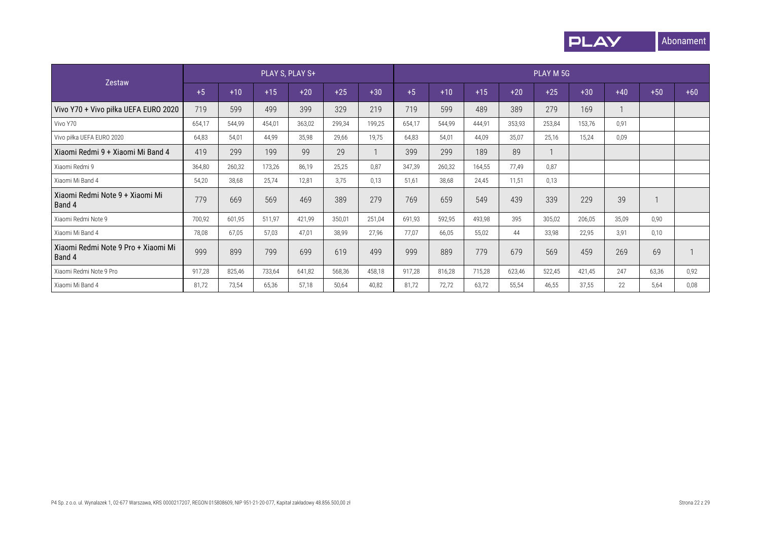

|                                               |        |        |        | PLAY S, PLAY S+ |        |        |        |        |        |        | PLAY M 5G |        |       |       |       |
|-----------------------------------------------|--------|--------|--------|-----------------|--------|--------|--------|--------|--------|--------|-----------|--------|-------|-------|-------|
| <b>Zestaw</b>                                 | $+5$   | $+10$  | $+15$  | $+20$           | $+25$  | $+30$  | $+5$   | $+10$  | $+15$  | $+20$  | $+25$     | $+30$  | $+40$ | $+50$ | $+60$ |
| Vivo Y70 + Vivo piłka UEFA EURO 2020          | 719    | 599    | 499    | 399             | 329    | 219    | 719    | 599    | 489    | 389    | 279       | 169    |       |       |       |
| Vivo Y70                                      | 654,17 | 544,99 | 454,01 | 363,02          | 299,34 | 199,25 | 654,17 | 544,99 | 444.91 | 353,93 | 253,84    | 153,76 | 0,91  |       |       |
| Vivo piłka UEFA EURO 2020                     | 64,83  | 54,01  | 44,99  | 35,98           | 29,66  | 19,75  | 64,83  | 54,01  | 44,09  | 35,07  | 25,16     | 15,24  | 0,09  |       |       |
| Xiaomi Redmi 9 + Xiaomi Mi Band 4             | 419    | 299    | 199    | 99              | 29     |        | 399    | 299    | 189    | 89     |           |        |       |       |       |
| Xiaomi Redmi 9                                | 364,80 | 260,32 | 173,26 | 86,19           | 25,25  | 0.87   | 347,39 | 260,32 | 164,55 | 77,49  | 0,87      |        |       |       |       |
| Xiaomi Mi Band 4                              | 54,20  | 38,68  | 25,74  | 12,81           | 3.75   | 0.13   | 51,61  | 38,68  | 24,45  | 11,51  | 0,13      |        |       |       |       |
| Xiaomi Redmi Note 9 + Xiaomi Mi<br>Band 4     | 779    | 669    | 569    | 469             | 389    | 279    | 769    | 659    | 549    | 439    | 339       | 229    | 39    |       |       |
| Xiaomi Redmi Note 9                           | 700,92 | 601,95 | 511,97 | 421,99          | 350,01 | 251,04 | 691,93 | 592,95 | 493,98 | 395    | 305,02    | 206,05 | 35,09 | 0,90  |       |
| Xiaomi Mi Band 4                              | 78,08  | 67,05  | 57,03  | 47,01           | 38,99  | 27,96  | 77,07  | 66,05  | 55,02  | 44     | 33,98     | 22,95  | 3,91  | 0,10  |       |
| Xiaomi Redmi Note 9 Pro + Xiaomi Mi<br>Band 4 | 999    | 899    | 799    | 699             | 619    | 499    | 999    | 889    | 779    | 679    | 569       | 459    | 269   | 69    |       |
| Xiaomi Redmi Note 9 Pro                       | 917,28 | 825,46 | 733,64 | 641,82          | 568,36 | 458,18 | 917,28 | 816,28 | 715,28 | 623,46 | 522,45    | 421,45 | 247   | 63,36 | 0,92  |
| Xiaomi Mi Band 4                              | 81,72  | 73,54  | 65,36  | 57,18           | 50,64  | 40,82  | 81,72  | 72,72  | 63.72  | 55,54  | 46,55     | 37,55  | 22    | 5,64  | 0,08  |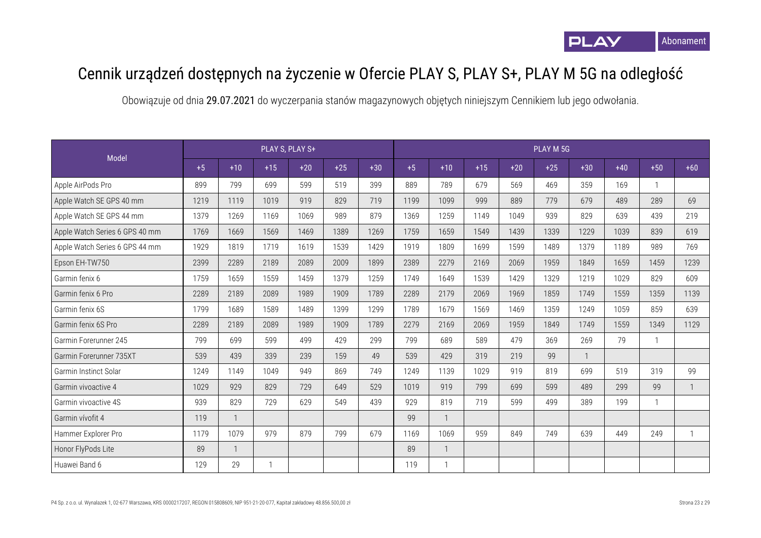

## Cennik urządzeń dostępnych na życzenie w Ofercie PLAY S, PLAY S+, PLAY M 5G na odległość

|                                |      |              |       | PLAY S, PLAY S+ |       |       |      |                |       |       | PLAY M 5G |       |       |       |       |
|--------------------------------|------|--------------|-------|-----------------|-------|-------|------|----------------|-------|-------|-----------|-------|-------|-------|-------|
| Model                          | $+5$ | $+10$        | $+15$ | $+20$           | $+25$ | $+30$ | $+5$ | $+10$          | $+15$ | $+20$ | $+25$     | $+30$ | $+40$ | $+50$ | $+60$ |
| Apple AirPods Pro              | 899  | 799          | 699   | 599             | 519   | 399   | 889  | 789            | 679   | 569   | 469       | 359   | 169   |       |       |
| Apple Watch SE GPS 40 mm       | 1219 | 1119         | 1019  | 919             | 829   | 719   | 1199 | 1099           | 999   | 889   | 779       | 679   | 489   | 289   | 69    |
| Apple Watch SE GPS 44 mm       | 1379 | 1269         | 1169  | 1069            | 989   | 879   | 1369 | 1259           | 1149  | 1049  | 939       | 829   | 639   | 439   | 219   |
| Apple Watch Series 6 GPS 40 mm | 1769 | 1669         | 1569  | 1469            | 1389  | 1269  | 1759 | 1659           | 1549  | 1439  | 1339      | 1229  | 1039  | 839   | 619   |
| Apple Watch Series 6 GPS 44 mm | 1929 | 1819         | 1719  | 1619            | 1539  | 1429  | 1919 | 1809           | 1699  | 1599  | 1489      | 1379  | 1189  | 989   | 769   |
| Epson EH-TW750                 | 2399 | 2289         | 2189  | 2089            | 2009  | 1899  | 2389 | 2279           | 2169  | 2069  | 1959      | 1849  | 1659  | 1459  | 1239  |
| Garmin fenix 6                 | 1759 | 1659         | 1559  | 1459            | 1379  | 1259  | 1749 | 1649           | 1539  | 1429  | 1329      | 1219  | 1029  | 829   | 609   |
| Garmin fenix 6 Pro             | 2289 | 2189         | 2089  | 1989            | 1909  | 1789  | 2289 | 2179           | 2069  | 1969  | 1859      | 1749  | 1559  | 1359  | 1139  |
| Garmin fenix 6S                | 1799 | 1689         | 1589  | 1489            | 1399  | 1299  | 1789 | 1679           | 1569  | 1469  | 1359      | 1249  | 1059  | 859   | 639   |
| Garmin fenix 6S Pro            | 2289 | 2189         | 2089  | 1989            | 1909  | 1789  | 2279 | 2169           | 2069  | 1959  | 1849      | 1749  | 1559  | 1349  | 1129  |
| Garmin Forerunner 245          | 799  | 699          | 599   | 499             | 429   | 299   | 799  | 689            | 589   | 479   | 369       | 269   | 79    |       |       |
| Garmin Forerunner 735XT        | 539  | 439          | 339   | 239             | 159   | 49    | 539  | 429            | 319   | 219   | 99        |       |       |       |       |
| Garmin Instinct Solar          | 1249 | 1149         | 1049  | 949             | 869   | 749   | 1249 | 1139           | 1029  | 919   | 819       | 699   | 519   | 319   | 99    |
| Garmin vivoactive 4            | 1029 | 929          | 829   | 729             | 649   | 529   | 1019 | 919            | 799   | 699   | 599       | 489   | 299   | 99    |       |
| Garmin vivoactive 4S           | 939  | 829          | 729   | 629             | 549   | 439   | 929  | 819            | 719   | 599   | 499       | 389   | 199   |       |       |
| Garmin vívofit 4               | 119  | $\mathbf{1}$ |       |                 |       |       | 99   | $\overline{1}$ |       |       |           |       |       |       |       |
| Hammer Explorer Pro            | 1179 | 1079         | 979   | 879             | 799   | 679   | 1169 | 1069           | 959   | 849   | 749       | 639   | 449   | 249   |       |
| Honor FlyPods Lite             | 89   | $\mathbf{1}$ |       |                 |       |       | 89   | $\overline{1}$ |       |       |           |       |       |       |       |
| Huawei Band 6                  | 129  | 29           |       |                 |       |       | 119  | $\mathbf{1}$   |       |       |           |       |       |       |       |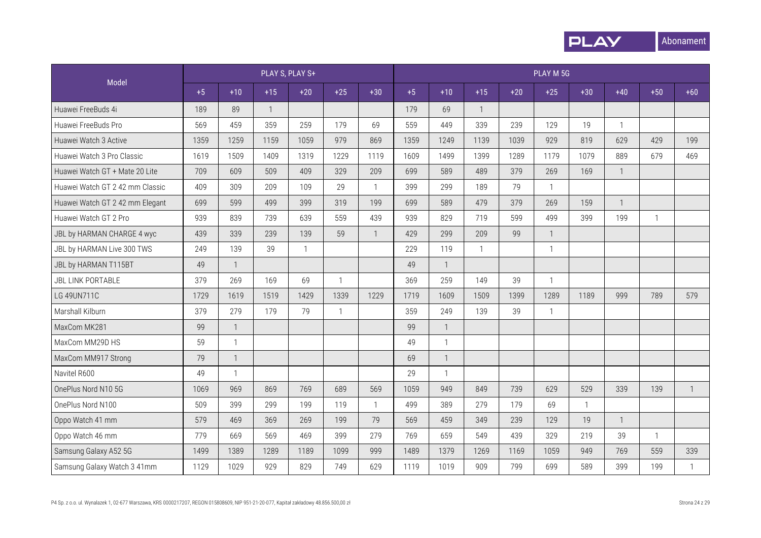

|                                 |      |              | PLAY S, PLAY S+ |              |              |                |      |                |              |       | PLAY M 5G                |              |              |              |              |
|---------------------------------|------|--------------|-----------------|--------------|--------------|----------------|------|----------------|--------------|-------|--------------------------|--------------|--------------|--------------|--------------|
| Model                           | $+5$ | $+10$        | $+15$           | $+20$        | $+25$        | $+30$          | $+5$ | $+10$          | $+15$        | $+20$ | $+25$                    | $+30$        | $+40$        | $+50$        | $+60$        |
| Huawei FreeBuds 4i              | 189  | 89           | $\mathbf{1}$    |              |              |                | 179  | 69             | $\mathbf{1}$ |       |                          |              |              |              |              |
| Huawei FreeBuds Pro             | 569  | 459          | 359             | 259          | 179          | 69             | 559  | 449            | 339          | 239   | 129                      | 19           | $\mathbf{1}$ |              |              |
| Huawei Watch 3 Active           | 1359 | 1259         | 1159            | 1059         | 979          | 869            | 1359 | 1249           | 1139         | 1039  | 929                      | 819          | 629          | 429          | 199          |
| Huawei Watch 3 Pro Classic      | 1619 | 1509         | 1409            | 1319         | 1229         | 1119           | 1609 | 1499           | 1399         | 1289  | 1179                     | 1079         | 889          | 679          | 469          |
| Huawei Watch GT + Mate 20 Lite  | 709  | 609          | 509             | 409          | 329          | 209            | 699  | 589            | 489          | 379   | 269                      | 169          | $\mathbf{1}$ |              |              |
| Huawei Watch GT 2 42 mm Classic | 409  | 309          | 209             | 109          | 29           | $\mathbf{1}$   | 399  | 299            | 189          | 79    | $\mathbf{1}$             |              |              |              |              |
| Huawei Watch GT 2 42 mm Elegant | 699  | 599          | 499             | 399          | 319          | 199            | 699  | 589            | 479          | 379   | 269                      | 159          | $\mathbf{1}$ |              |              |
| Huawei Watch GT 2 Pro           | 939  | 839          | 739             | 639          | 559          | 439            | 939  | 829            | 719          | 599   | 499                      | 399          | 199          | $\mathbf{1}$ |              |
| JBL by HARMAN CHARGE 4 wyc      | 439  | 339          | 239             | 139          | 59           | $\overline{1}$ | 429  | 299            | 209          | 99    | $\overline{\phantom{a}}$ |              |              |              |              |
| JBL by HARMAN Live 300 TWS      | 249  | 139          | 39              | $\mathbf{1}$ |              |                | 229  | 119            | $\mathbf{1}$ |       | $\mathbf{1}$             |              |              |              |              |
| JBL by HARMAN T115BT            | 49   | $\mathbf{1}$ |                 |              |              |                | 49   | $\overline{1}$ |              |       |                          |              |              |              |              |
| <b>JBL LINK PORTABLE</b>        | 379  | 269          | 169             | 69           | $\mathbf{1}$ |                | 369  | 259            | 149          | 39    | $\mathbf{1}$             |              |              |              |              |
| LG 49UN711C                     | 1729 | 1619         | 1519            | 1429         | 1339         | 1229           | 1719 | 1609           | 1509         | 1399  | 1289                     | 1189         | 999          | 789          | 579          |
| Marshall Kilburn                | 379  | 279          | 179             | 79           | $\mathbf{1}$ |                | 359  | 249            | 139          | 39    | $\mathbf{1}$             |              |              |              |              |
| MaxCom MK281                    | 99   | $\mathbf{1}$ |                 |              |              |                | 99   | $\mathbf{1}$   |              |       |                          |              |              |              |              |
| MaxCom MM29D HS                 | 59   | $\mathbf{1}$ |                 |              |              |                | 49   | $\mathbf{1}$   |              |       |                          |              |              |              |              |
| MaxCom MM917 Strong             | 79   | $\mathbf{1}$ |                 |              |              |                | 69   | $\mathbf{1}$   |              |       |                          |              |              |              |              |
| Navitel R600                    | 49   | $\mathbf{1}$ |                 |              |              |                | 29   | $\overline{1}$ |              |       |                          |              |              |              |              |
| OnePlus Nord N10 5G             | 1069 | 969          | 869             | 769          | 689          | 569            | 1059 | 949            | 849          | 739   | 629                      | 529          | 339          | 139          | $\mathbf{1}$ |
| OnePlus Nord N100               | 509  | 399          | 299             | 199          | 119          | $\mathbf{1}$   | 499  | 389            | 279          | 179   | 69                       | $\mathbf{1}$ |              |              |              |
| Oppo Watch 41 mm                | 579  | 469          | 369             | 269          | 199          | 79             | 569  | 459            | 349          | 239   | 129                      | 19           | $\mathbf{1}$ |              |              |
| Oppo Watch 46 mm                | 779  | 669          | 569             | 469          | 399          | 279            | 769  | 659            | 549          | 439   | 329                      | 219          | 39           | $\mathbf{1}$ |              |
| Samsung Galaxy A52 5G           | 1499 | 1389         | 1289            | 1189         | 1099         | 999            | 1489 | 1379           | 1269         | 1169  | 1059                     | 949          | 769          | 559          | 339          |
| Samsung Galaxy Watch 3 41mm     | 1129 | 1029         | 929             | 829          | 749          | 629            | 1119 | 1019           | 909          | 799   | 699                      | 589          | 399          | 199          | $\mathbf{1}$ |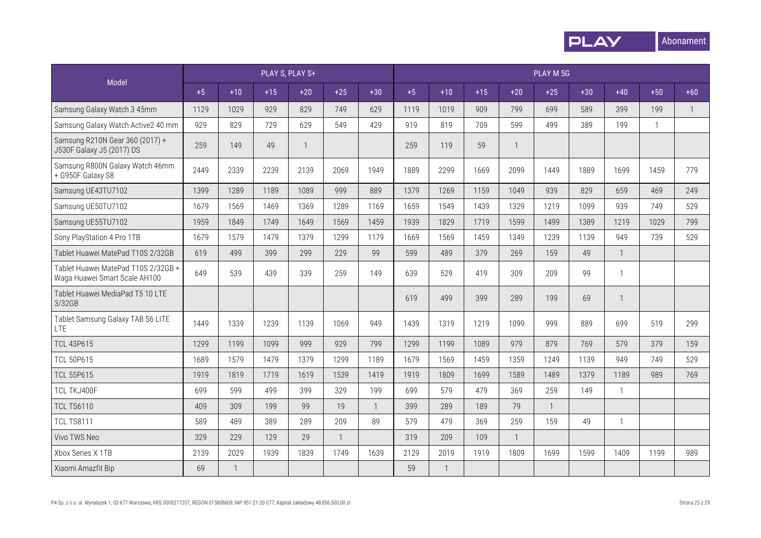

|                                                                      |      |       |       | PLAY S, PLAY S+ |              |              | PLAY M 5G |              |       |       |                |       |              |              |              |  |
|----------------------------------------------------------------------|------|-------|-------|-----------------|--------------|--------------|-----------|--------------|-------|-------|----------------|-------|--------------|--------------|--------------|--|
| Model                                                                | $+5$ | $+10$ | $+15$ | $+20$           | $+25$        | $+30$        | $+5$      | $+10$        | $+15$ | $+20$ | $+25$          | $+30$ | $+40$        | $+50$        | $+60$        |  |
| Samsung Galaxy Watch 3 45mm                                          | 1129 | 1029  | 929   | 829             | 749          | 629          | 1119      | 1019         | 909   | 799   | 699            | 589   | 399          | 199          | $\mathbf{1}$ |  |
| Samsung Galaxy Watch Active2 40 mm                                   | 929  | 829   | 729   | 629             | 549          | 429          | 919       | 819          | 709   | 599   | 499            | 389   | 199          | $\mathbf{1}$ |              |  |
| Samsung R210N Gear 360 (2017) +<br>J530F Galaxy J5 (2017) DS         | 259  | 149   | 49    | $\mathbf{1}$    |              |              | 259       | 119          | 59    |       |                |       |              |              |              |  |
| Samsung R800N Galaxy Watch 46mm<br>+ G950F Galaxy S8                 | 2449 | 2339  | 2239  | 2139            | 2069         | 1949         | 1889      | 2299         | 1669  | 2099  | 1449           | 1889  | 1699         | 1459         | 779          |  |
| Samsung UE43TU7102                                                   | 1399 | 1289  | 1189  | 1089            | 999          | 889          | 1379      | 1269         | 1159  | 1049  | 939            | 829   | 659          | 469          | 249          |  |
| Samsung UE50TU7102                                                   | 1679 | 1569  | 1469  | 1369            | 1289         | 1169         | 1659      | 1549         | 1439  | 1329  | 1219           | 1099  | 939          | 749          | 529          |  |
| Samsung UE55TU7102                                                   | 1959 | 1849  | 1749  | 1649            | 1569         | 1459         | 1939      | 1829         | 1719  | 1599  | 1499           | 1389  | 1219         | 1029         | 799          |  |
| Sony PlayStation 4 Pro 1TB                                           | 1679 | 1579  | 1479  | 1379            | 1299         | 1179         | 1669      | 1569         | 1459  | 1349  | 1239           | 1139  | 949          | 739          | 529          |  |
| Tablet Huawei MatePad T10S 2/32GB                                    | 619  | 499   | 399   | 299             | 229          | 99           | 599       | 489          | 379   | 269   | 159            | 49    | $\mathbf{1}$ |              |              |  |
| Tablet Huawei MatePad T10S 2/32GB +<br>Waga Huawei Smart Scale AH100 | 649  | 539   | 439   | 339             | 259          | 149          | 639       | 529          | 419   | 309   | 209            | 99    | $\mathbf{1}$ |              |              |  |
| Tablet Huawei MediaPad T5 10 LTE<br>3/32GB                           |      |       |       |                 |              |              | 619       | 499          | 399   | 289   | 199            | 69    |              |              |              |  |
| Tablet Samsung Galaxy TAB S6 LITE<br><b>LTE</b>                      | 1449 | 1339  | 1239  | 1139            | 1069         | 949          | 1439      | 1319         | 1219  | 1099  | 999            | 889   | 699          | 519          | 299          |  |
| <b>TCL 43P615</b>                                                    | 1299 | 1199  | 1099  | 999             | 929          | 799          | 1299      | 1199         | 1089  | 979   | 879            | 769   | 579          | 379          | 159          |  |
| <b>TCL 50P615</b>                                                    | 1689 | 1579  | 1479  | 1379            | 1299         | 1189         | 1679      | 1569         | 1459  | 1359  | 1249           | 1139  | 949          | 749          | 529          |  |
| <b>TCL 55P615</b>                                                    | 1919 | 1819  | 1719  | 1619            | 1539         | 1419         | 1919      | 1809         | 1699  | 1589  | 1489           | 1379  | 1189         | 989          | 769          |  |
| TCL TKJ400F                                                          | 699  | 599   | 499   | 399             | 329          | 199          | 699       | 579          | 479   | 369   | 259            | 149   | $\mathbf{1}$ |              |              |  |
| <b>TCL TS6110</b>                                                    | 409  | 309   | 199   | 99              | 19           | $\mathbf{1}$ | 399       | 289          | 189   | 79    | $\overline{1}$ |       |              |              |              |  |
| <b>TCL TS8111</b>                                                    | 589  | 489   | 389   | 289             | 209          | 89           | 579       | 479          | 369   | 259   | 159            | 49    | $\mathbf{1}$ |              |              |  |
| Vivo TWS Neo                                                         | 329  | 229   | 129   | 29              | $\mathbf{1}$ |              | 319       | 209          | 109   |       |                |       |              |              |              |  |
| Xbox Series X 1TB                                                    | 2139 | 2029  | 1939  | 1839            | 1749         | 1639         | 2129      | 2019         | 1919  | 1809  | 1699           | 1599  | 1409         | 1199         | 989          |  |
| Xiaomi Amazfit Bip                                                   | 69   |       |       |                 |              |              | 59        | $\mathbf{1}$ |       |       |                |       |              |              |              |  |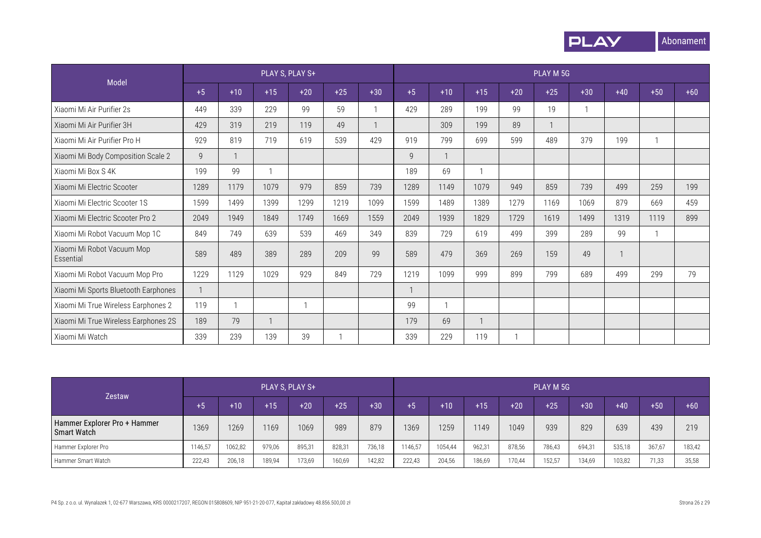

|                                         |      |       |              | PLAY S, PLAY S+ |       |                | PLAY M 5G    |       |       |       |       |              |       |       |       |
|-----------------------------------------|------|-------|--------------|-----------------|-------|----------------|--------------|-------|-------|-------|-------|--------------|-------|-------|-------|
| Model                                   | $+5$ | $+10$ | $+15$        | $+20$           | $+25$ | $+30$          | $+5$         | $+10$ | $+15$ | $+20$ | $+25$ | $+30$        | $+40$ | $+50$ | $+60$ |
| Xiaomi Mi Air Purifier 2s               | 449  | 339   | 229          | 99              | 59    |                | 429          | 289   | 199   | 99    | 19    | $\mathbf{1}$ |       |       |       |
| Xiaomi Mi Air Purifier 3H               | 429  | 319   | 219          | 119             | 49    | $\overline{1}$ |              | 309   | 199   | 89    |       |              |       |       |       |
| Xiaomi Mi Air Purifier Pro H            | 929  | 819   | 719          | 619             | 539   | 429            | 919          | 799   | 699   | 599   | 489   | 379          | 199   |       |       |
| Xiaomi Mi Body Composition Scale 2      | 9    |       |              |                 |       |                | $\mathsf{Q}$ |       |       |       |       |              |       |       |       |
| Xiaomi Mi Box S 4K                      | 199  | 99    |              |                 |       |                | 189          | 69    |       |       |       |              |       |       |       |
| Xiaomi Mi Electric Scooter              | 1289 | 1179  | 1079         | 979             | 859   | 739            | 1289         | 1149  | 1079  | 949   | 859   | 739          | 499   | 259   | 199   |
| Xiaomi Mi Electric Scooter 1S           | 1599 | 1499  | 1399         | 1299            | 1219  | 1099           | 1599         | 1489  | 1389  | 1279  | 1169  | 1069         | 879   | 669   | 459   |
| Xiaomi Mi Electric Scooter Pro 2        | 2049 | 1949  | 1849         | 1749            | 1669  | 1559           | 2049         | 1939  | 1829  | 1729  | 1619  | 1499         | 1319  | 1119  | 899   |
| Xiaomi Mi Robot Vacuum Mop 1C           | 849  | 749   | 639          | 539             | 469   | 349            | 839          | 729   | 619   | 499   | 399   | 289          | 99    |       |       |
| Xiaomi Mi Robot Vacuum Mop<br>Essential | 589  | 489   | 389          | 289             | 209   | 99             | 589          | 479   | 369   | 269   | 159   | 49           |       |       |       |
| Xiaomi Mi Robot Vacuum Mop Pro          | 1229 | 1129  | 1029         | 929             | 849   | 729            | 1219         | 1099  | 999   | 899   | 799   | 689          | 499   | 299   | 79    |
| Xiaomi Mi Sports Bluetooth Earphones    |      |       |              |                 |       |                |              |       |       |       |       |              |       |       |       |
| Xiaomi Mi True Wireless Earphones 2     | 119  |       |              |                 |       |                | 99           |       |       |       |       |              |       |       |       |
| Xiaomi Mi True Wireless Earphones 2S    | 189  | 79    | $\mathbf{1}$ |                 |       |                | 179          | 69    |       |       |       |              |       |       |       |
| Xiaomi Mi Watch                         | 339  | 239   | 139          | 39              |       |                | 339          | 229   | 119   |       |       |              |       |       |       |

|                                                    | PLAY S, PLAY S+<br><b>Zestaw</b> |         |        |        |        |        |         |         | PLAY M 5G |        |        |        |        |        |        |  |  |  |
|----------------------------------------------------|----------------------------------|---------|--------|--------|--------|--------|---------|---------|-----------|--------|--------|--------|--------|--------|--------|--|--|--|
|                                                    | $+5$                             | $+10$   | $+15$  | $+20$  | $+25$  | $+30$  | $+5$    | $+10$   | $+15$     | $+20$  | $+25$  | $+30$  | $+40$  | $+50$  | $+60$  |  |  |  |
| Hammer Explorer Pro + Hammer<br><b>Smart Watch</b> | 1369                             | 1269    | 1169   | 1069   | 989    | 879    | 1369    | 1259    | 1149      | 1049   | 939    | 829    | 639    | 439    | 219    |  |  |  |
| Hammer Explorer Pro                                | 1146.57                          | 1062,82 | 979,06 | 895,31 | 828.31 | 736,18 | 1146.57 | 1054.44 | 962.31    | 878.56 | 786,43 | 694,31 | 535,18 | 367,67 | 183,42 |  |  |  |
| Hammer Smart Watch                                 | 222,43                           | 206,18  | 189,94 | 173,69 | 160,69 | 142,82 | 222,43  | 204,56  | 186,69    | 170,44 | 152,57 | 134,69 | 103,82 | 71,33  | 35,58  |  |  |  |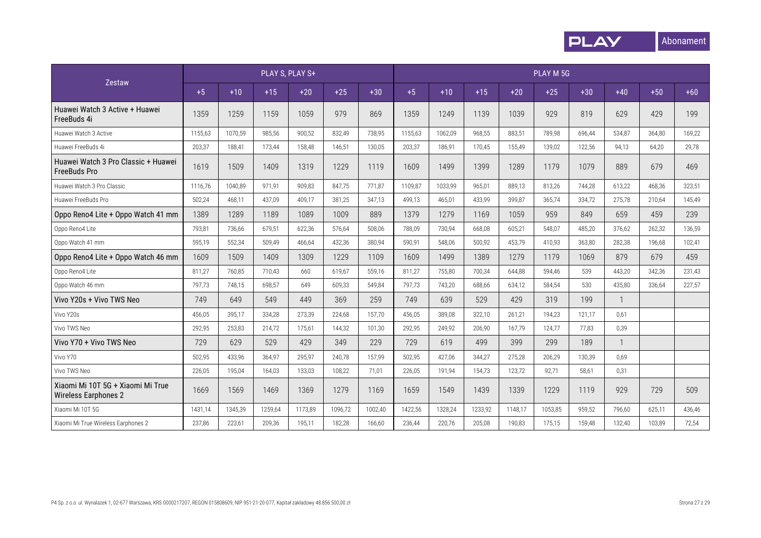

|                                                                  | PLAY M 5G |         |         |         |         |         |         |         |         |         |         |        |              |        |        |
|------------------------------------------------------------------|-----------|---------|---------|---------|---------|---------|---------|---------|---------|---------|---------|--------|--------------|--------|--------|
| Zestaw                                                           | $+5$      | $+10$   | $+15$   | $+20$   | $+25$   | $+30$   | $+5$    | $+10$   | $+15$   | $+20$   | $+25$   | $+30$  | $+40$        | $+50$  | $+60$  |
| Huawei Watch 3 Active + Huawei<br>FreeBuds 4i                    | 1359      | 1259    | 1159    | 1059    | 979     | 869     | 1359    | 1249    | 1139    | 1039    | 929     | 819    | 629          | 429    | 199    |
| Huawei Watch 3 Active                                            | 1155,63   | 1070,59 | 985,56  | 900,52  | 832.49  | 738,95  | 1155,63 | 1062,09 | 968,55  | 883,51  | 789,98  | 696,44 | 534,87       | 364,80 | 169,22 |
| Huawei FreeBuds 4i                                               | 203,37    | 188,41  | 173,44  | 158,48  | 146,51  | 130,05  | 203,37  | 186,91  | 170,45  | 155,49  | 139,02  | 122,56 | 94,13        | 64,20  | 29,78  |
| Huawei Watch 3 Pro Classic + Huawei<br><b>FreeBuds Pro</b>       | 1619      | 1509    | 1409    | 1319    | 1229    | 1119    | 1609    | 1499    | 1399    | 1289    | 1179    | 1079   | 889          | 679    | 469    |
| Huawei Watch 3 Pro Classic                                       | 1116,76   | 1040.89 | 971.91  | 909.83  | 847.75  | 771,87  | 1109.87 | 1033,99 | 965.01  | 889.13  | 813.26  | 744,28 | 613,22       | 468,36 | 323.51 |
| Huawei FreeBuds Pro                                              | 502,24    | 468,11  | 437,09  | 409,17  | 381.25  | 347,13  | 499,13  | 465,01  | 433,99  | 399.87  | 365.74  | 334,72 | 275,78       | 210,64 | 145,49 |
| Oppo Reno4 Lite + Oppo Watch 41 mm                               | 1389      | 1289    | 1189    | 1089    | 1009    | 889     | 1379    | 1279    | 1169    | 1059    | 959     | 849    | 659          | 459    | 239    |
| Oppo Reno4 Lite                                                  | 793,81    | 736,66  | 679,51  | 622,36  | 576.64  | 508,06  | 788,09  | 730,94  | 668,08  | 605,21  | 548.07  | 485,20 | 376,62       | 262,32 | 136,59 |
| Oppo Watch 41 mm                                                 | 595,19    | 552,34  | 509,49  | 466,64  | 432,36  | 380,94  | 590,91  | 548,06  | 500,92  | 453,79  | 410,93  | 363,80 | 282,38       | 196,68 | 102,41 |
| Oppo Reno4 Lite + Oppo Watch 46 mm                               | 1609      | 1509    | 1409    | 1309    | 1229    | 1109    | 1609    | 1499    | 1389    | 1279    | 1179    | 1069   | 879          | 679    | 459    |
| Oppo Reno4 Lite                                                  | 811,27    | 760,85  | 710,43  | 660     | 619.67  | 559,16  | 811,27  | 755,80  | 700,34  | 644.88  | 594.46  | 539    | 443,20       | 342,36 | 231,43 |
| Oppo Watch 46 mm                                                 | 797,73    | 748,15  | 698,57  | 649     | 609,33  | 549,84  | 797,73  | 743,20  | 688,66  | 634,12  | 584,54  | 530    | 435,80       | 336,64 | 227,57 |
| Vivo Y20s + Vivo TWS Neo                                         | 749       | 649     | 549     | 449     | 369     | 259     | 749     | 639     | 529     | 429     | 319     | 199    | $\mathbf{1}$ |        |        |
| Vivo Y20s                                                        | 456,05    | 395,17  | 334,28  | 273,39  | 224.68  | 157,70  | 456,05  | 389,08  | 322,10  | 261,21  | 194,23  | 121,17 | 0.61         |        |        |
| Vivo TWS Neo                                                     | 292,95    | 253,83  | 214,72  | 175.61  | 144.32  | 101,30  | 292,95  | 249.92  | 206.90  | 167.79  | 124.77  | 77.83  | 0,39         |        |        |
| Vivo Y70 + Vivo TWS Neo                                          | 729       | 629     | 529     | 429     | 349     | 229     | 729     | 619     | 499     | 399     | 299     | 189    | $\mathbf{1}$ |        |        |
| Vivo Y70                                                         | 502,95    | 433.96  | 364.97  | 295.97  | 240.78  | 157.99  | 502.95  | 427.06  | 344.27  | 275.28  | 206.29  | 130.39 | 0.69         |        |        |
| Vivo TWS Neo                                                     | 226,05    | 195,04  | 164,03  | 133,03  | 108.22  | 71.01   | 226,05  | 191,94  | 154,73  | 123,72  | 92,71   | 58,61  | 0,31         |        |        |
| Xiaomi Mi 10T 5G + Xiaomi Mi True<br><b>Wireless Earphones 2</b> | 1669      | 1569    | 1469    | 1369    | 1279    | 1169    | 1659    | 1549    | 1439    | 1339    | 1229    | 1119   | 929          | 729    | 509    |
| Xiaomi Mi 10T 5G                                                 | 1431,14   | 1345,39 | 1259,64 | 1173,89 | 1096,72 | 1002,40 | 1422,56 | 1328,24 | 1233,92 | 1148,17 | 1053,85 | 959,52 | 796,60       | 625,11 | 436,46 |
| Xiaomi Mi True Wireless Earphones 2                              | 237,86    | 223,61  | 209,36  | 195,11  | 182,28  | 166,60  | 236,44  | 220,76  | 205,08  | 190,83  | 175,15  | 159,48 | 132,40       | 103,89 | 72,54  |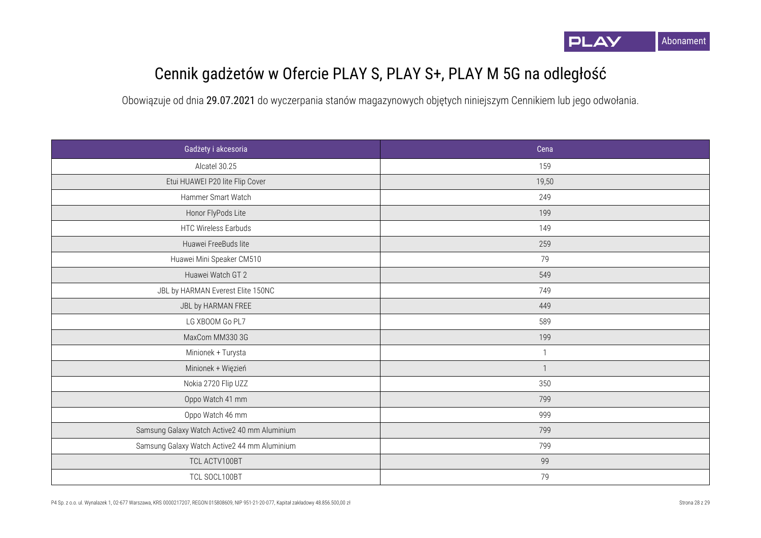

## Cennik gadżetów w Ofercie PLAY S, PLAY S+, PLAY M 5G na odległość

| Gadżety i akcesoria                          | Cena         |
|----------------------------------------------|--------------|
| Alcatel 30.25                                | 159          |
| Etui HUAWEI P20 lite Flip Cover              | 19,50        |
| Hammer Smart Watch                           | 249          |
| Honor FlyPods Lite                           | 199          |
| <b>HTC Wireless Earbuds</b>                  | 149          |
| Huawei FreeBuds lite                         | 259          |
| Huawei Mini Speaker CM510                    | 79           |
| Huawei Watch GT 2                            | 549          |
| JBL by HARMAN Everest Elite 150NC            | 749          |
| JBL by HARMAN FREE                           | 449          |
| LG XBOOM Go PL7                              | 589          |
| MaxCom MM330 3G                              | 199          |
| Minionek + Turysta                           | $\mathbf{1}$ |
| Minionek + Więzień                           | $\mathbf{1}$ |
| Nokia 2720 Flip UZZ                          | 350          |
| Oppo Watch 41 mm                             | 799          |
| Oppo Watch 46 mm                             | 999          |
| Samsung Galaxy Watch Active2 40 mm Aluminium | 799          |
| Samsung Galaxy Watch Active2 44 mm Aluminium | 799          |
| TCL ACTV100BT                                | 99           |
| TCL SOCL100BT                                | 79           |